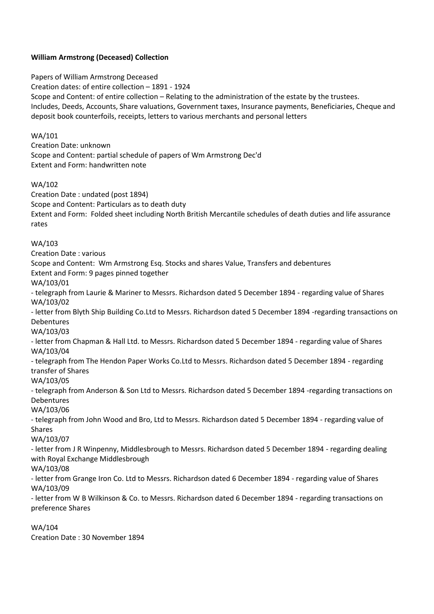# **William Armstrong (Deceased) Collection**

Papers of William Armstrong Deceased Creation dates: of entire collection – 1891 - 1924 Scope and Content: of entire collection – Relating to the administration of the estate by the trustees. Includes, Deeds, Accounts, Share valuations, Government taxes, Insurance payments, Beneficiaries, Cheque and deposit book counterfoils, receipts, letters to various merchants and personal letters

## WA/101

Creation Date: unknown Scope and Content: partial schedule of papers of Wm Armstrong Dec'd Extent and Form: handwritten note

## WA/102

Creation Date : undated (post 1894)

Scope and Content: Particulars as to death duty

Extent and Form: Folded sheet including North British Mercantile schedules of death duties and life assurance rates

## WA/103

Creation Date : various Scope and Content: Wm Armstrong Esq. Stocks and shares Value, Transfers and debentures Extent and Form: 9 pages pinned together WA/103/01 - telegraph from Laurie & Mariner to Messrs. Richardson dated 5 December 1894 - regarding value of Shares WA/103/02 - letter from Blyth Ship Building Co.Ltd to Messrs. Richardson dated 5 December 1894 -regarding transactions on Debentures WA/103/03 - letter from Chapman & Hall Ltd. to Messrs. Richardson dated 5 December 1894 - regarding value of Shares WA/103/04 - telegraph from The Hendon Paper Works Co.Ltd to Messrs. Richardson dated 5 December 1894 - regarding transfer of Shares WA/103/05 - telegraph from Anderson & Son Ltd to Messrs. Richardson dated 5 December 1894 -regarding transactions on Debentures WA/103/06 - telegraph from John Wood and Bro, Ltd to Messrs. Richardson dated 5 December 1894 - regarding value of Shares WA/103/07 - letter from J R Winpenny, Middlesbrough to Messrs. Richardson dated 5 December 1894 - regarding dealing

with Royal Exchange Middlesbrough

WA/103/08

- letter from Grange Iron Co. Ltd to Messrs. Richardson dated 6 December 1894 - regarding value of Shares WA/103/09

- letter from W B Wilkinson & Co. to Messrs. Richardson dated 6 December 1894 - regarding transactions on preference Shares

WA/104

Creation Date : 30 November 1894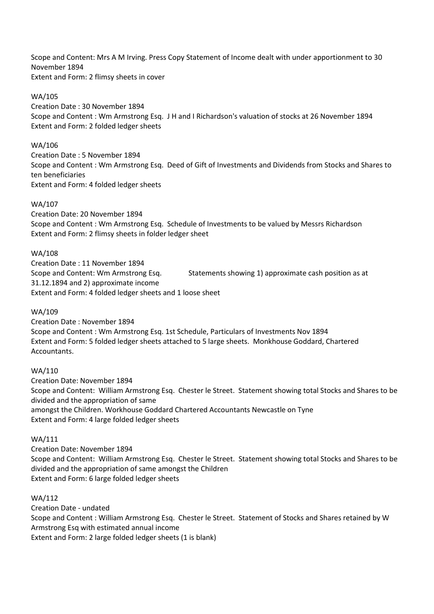Scope and Content: Mrs A M Irving. Press Copy Statement of Income dealt with under apportionment to 30 November 1894 Extent and Form: 2 flimsy sheets in cover

WA/105 Creation Date : 30 November 1894 Scope and Content : Wm Armstrong Esq. J H and I Richardson's valuation of stocks at 26 November 1894 Extent and Form: 2 folded ledger sheets

#### WA/106

Creation Date : 5 November 1894 Scope and Content : Wm Armstrong Esq. Deed of Gift of Investments and Dividends from Stocks and Shares to ten beneficiaries Extent and Form: 4 folded ledger sheets

#### WA/107

Creation Date: 20 November 1894 Scope and Content : Wm Armstrong Esq. Schedule of Investments to be valued by Messrs Richardson Extent and Form: 2 flimsy sheets in folder ledger sheet

### WA/108

Creation Date : 11 November 1894 Scope and Content: Wm Armstrong Esq. Statements showing 1) approximate cash position as at 31.12.1894 and 2) approximate income Extent and Form: 4 folded ledger sheets and 1 loose sheet

#### WA/109

Creation Date : November 1894 Scope and Content : Wm Armstrong Esq. 1st Schedule, Particulars of Investments Nov 1894 Extent and Form: 5 folded ledger sheets attached to 5 large sheets. Monkhouse Goddard, Chartered Accountants.

## WA/110

Creation Date: November 1894 Scope and Content: William Armstrong Esq. Chester le Street. Statement showing total Stocks and Shares to be divided and the appropriation of same amongst the Children. Workhouse Goddard Chartered Accountants Newcastle on Tyne Extent and Form: 4 large folded ledger sheets

#### WA/111

Creation Date: November 1894 Scope and Content: William Armstrong Esq. Chester le Street. Statement showing total Stocks and Shares to be divided and the appropriation of same amongst the Children Extent and Form: 6 large folded ledger sheets

## WA/112

Creation Date - undated Scope and Content : William Armstrong Esq. Chester le Street. Statement of Stocks and Shares retained by W Armstrong Esq with estimated annual income Extent and Form: 2 large folded ledger sheets (1 is blank)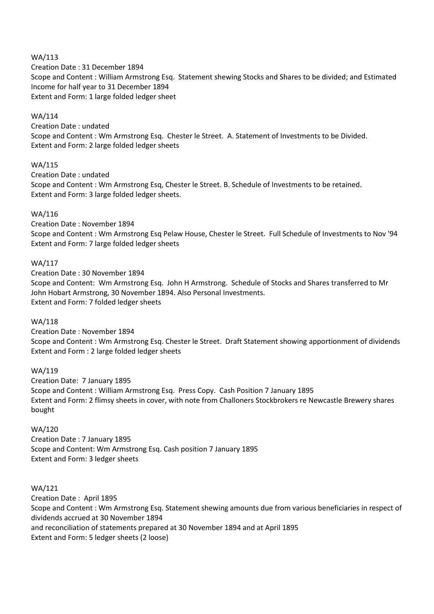## WA/113

Creation Date : 31 December 1894 Scope and Content : William Armstrong Esq. Statement shewing Stocks and Shares to be divided; and Estimated Income for half year to 31 December 1894 Extent and Form: 1 large folded ledger sheet

## WA/114

Creation Date : undated Scope and Content : Wm Armstrong Esq. Chester le Street. A. Statement of Investments to be Divided. Extent and Form: 2 large folded ledger sheets

# WA/115

Creation Date : undated Scope and Content : Wm Armstrong Esq, Chester le Street. B. Schedule of Investments to be retained. Extent and Form: 3 large folded ledger sheets.

# WA/116

Creation Date : November 1894 Scope and Content : Wm Armstrong Esq Pelaw House, Chester le Street. Full Schedule of Investments to Nov '94 Extent and Form: 7 large folded ledger sheets

# WA/117

Creation Date : 30 November 1894 Scope and Content: Wm Armstrong Esq. John H Armstrong. Schedule of Stocks and Shares transferred to Mr John Hobart Armstrong, 30 November 1894. Also Personal Investments. Extent and Form: 7 folded ledger sheets

# WA/118

Creation Date : November 1894 Scope and Content : Wm Armstrong Esq. Chester le Street. Draft Statement showing apportionment of dividends Extent and Form : 2 large folded ledger sheets

# WA/119

Creation Date: 7 January 1895 Scope and Content : William Armstrong Esq. Press Copy. Cash Position 7 January 1895 Extent and Form: 2 flimsy sheets in cover, with note from Challoners Stockbrokers re Newcastle Brewery shares bought

#### WA/120

Creation Date : 7 January 1895 Scope and Content: Wm Armstrong Esq. Cash position 7 January 1895 Extent and Form: 3 ledger sheets

# WA/121

Creation Date : April 1895 Scope and Content : Wm Armstrong Esq. Statement shewing amounts due from various beneficiaries in respect of dividends accrued at 30 November 1894 and reconciliation of statements prepared at 30 November 1894 and at April 1895 Extent and Form: 5 ledger sheets (2 loose)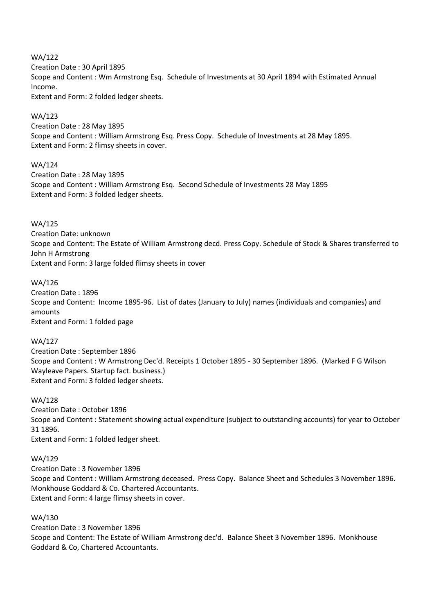WA/122 Creation Date : 30 April 1895 Scope and Content : Wm Armstrong Esq. Schedule of Investments at 30 April 1894 with Estimated Annual Income. Extent and Form: 2 folded ledger sheets.

## WA/123

Creation Date : 28 May 1895 Scope and Content : William Armstrong Esq. Press Copy. Schedule of Investments at 28 May 1895. Extent and Form: 2 flimsy sheets in cover.

## WA/124

Creation Date : 28 May 1895 Scope and Content : William Armstrong Esq. Second Schedule of Investments 28 May 1895 Extent and Form: 3 folded ledger sheets.

## WA/125

Creation Date: unknown Scope and Content: The Estate of William Armstrong decd. Press Copy. Schedule of Stock & Shares transferred to John H Armstrong Extent and Form: 3 large folded flimsy sheets in cover

## WA/126

Creation Date : 1896 Scope and Content: Income 1895-96. List of dates (January to July) names (individuals and companies) and amounts Extent and Form: 1 folded page

#### WA/127

Creation Date : September 1896 Scope and Content : W Armstrong Dec'd. Receipts 1 October 1895 - 30 September 1896. (Marked F G Wilson Wayleave Papers. Startup fact. business.) Extent and Form: 3 folded ledger sheets.

#### WA/128

Creation Date : October 1896 Scope and Content : Statement showing actual expenditure (subject to outstanding accounts) for year to October 31 1896. Extent and Form: 1 folded ledger sheet.

#### WA/129

Creation Date : 3 November 1896 Scope and Content : William Armstrong deceased. Press Copy. Balance Sheet and Schedules 3 November 1896. Monkhouse Goddard & Co. Chartered Accountants. Extent and Form: 4 large flimsy sheets in cover.

# WA/130

Creation Date : 3 November 1896 Scope and Content: The Estate of William Armstrong dec'd. Balance Sheet 3 November 1896. Monkhouse Goddard & Co, Chartered Accountants.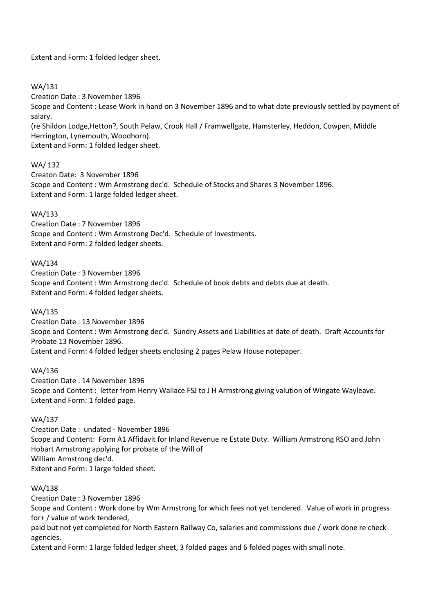Extent and Form: 1 folded ledger sheet.

## WA/131

Creation Date : 3 November 1896

Scope and Content : Lease Work in hand on 3 November 1896 and to what date previously settled by payment of salary.

(re Shildon Lodge,Hetton?, South Pelaw, Crook Hall / Framwellgate, Hamsterley, Heddon, Cowpen, Middle Herrington, Lynemouth, Woodhorn).

Extent and Form: 1 folded ledger sheet.

# WA/ 132

Creaton Date: 3 November 1896 Scope and Content : Wm Armstrong dec'd. Schedule of Stocks and Shares 3 November 1896. Extent and Form: 1 large folded ledger sheet.

## WA/133

Creation Date : 7 November 1896 Scope and Content : Wm Armstrong Dec'd. Schedule of Investments. Extent and Form: 2 folded ledger sheets.

#### WA/134

Creation Date : 3 November 1896 Scope and Content : Wm Armstrong dec'd. Schedule of book debts and debts due at death. Extent and Form: 4 folded ledger sheets.

#### WA/135

Creation Date : 13 November 1896 Scope and Content : Wm Armstrong dec'd. Sundry Assets and Liabilities at date of death. Draft Accounts for Probate 13 November 1896. Extent and Form: 4 folded ledger sheets enclosing 2 pages Pelaw House notepaper.

#### WA/136

Creation Date : 14 November 1896 Scope and Content : letter from Henry Wallace FSJ to J H Armstrong giving valution of Wingate Wayleave. Extent and Form: 1 folded page.

## WA/137

Creation Date : undated - November 1896 Scope and Content: Form A1 Affidavit for Inland Revenue re Estate Duty. William Armstrong RSO and John Hobart Armstrong applying for probate of the Will of William Armstrong dec'd. Extent and Form: 1 large folded sheet.

#### WA/138

Creation Date : 3 November 1896

Scope and Content : Work done by Wm Armstrong for which fees not yet tendered. Value of work in progress for+ / value of work tendered,

paid but not yet completed for North Eastern Railway Co, salaries and commissions due / work done re check agencies.

Extent and Form: 1 large folded ledger sheet, 3 folded pages and 6 folded pages with small note.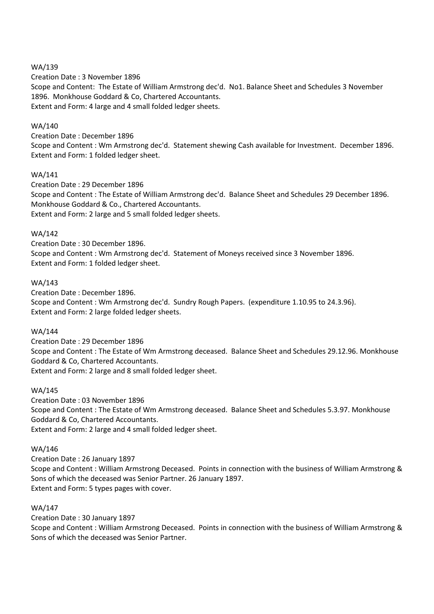## WA/139

Creation Date : 3 November 1896 Scope and Content: The Estate of William Armstrong dec'd. No1. Balance Sheet and Schedules 3 November 1896. Monkhouse Goddard & Co, Chartered Accountants. Extent and Form: 4 large and 4 small folded ledger sheets.

## WA/140

#### Creation Date : December 1896

Scope and Content : Wm Armstrong dec'd. Statement shewing Cash available for Investment. December 1896. Extent and Form: 1 folded ledger sheet.

## WA/141

Creation Date : 29 December 1896 Scope and Content : The Estate of William Armstrong dec'd. Balance Sheet and Schedules 29 December 1896. Monkhouse Goddard & Co., Chartered Accountants. Extent and Form: 2 large and 5 small folded ledger sheets.

## WA/142

Creation Date : 30 December 1896. Scope and Content : Wm Armstrong dec'd. Statement of Moneys received since 3 November 1896. Extent and Form: 1 folded ledger sheet.

## WA/143

Creation Date : December 1896. Scope and Content : Wm Armstrong dec'd. Sundry Rough Papers. (expenditure 1.10.95 to 24.3.96). Extent and Form: 2 large folded ledger sheets.

#### WA/144

Creation Date : 29 December 1896 Scope and Content : The Estate of Wm Armstrong deceased. Balance Sheet and Schedules 29.12.96. Monkhouse Goddard & Co, Chartered Accountants. Extent and Form: 2 large and 8 small folded ledger sheet.

#### WA/145

Creation Date : 03 November 1896 Scope and Content : The Estate of Wm Armstrong deceased. Balance Sheet and Schedules 5.3.97. Monkhouse Goddard & Co, Chartered Accountants. Extent and Form: 2 large and 4 small folded ledger sheet.

#### WA/146

Creation Date : 26 January 1897 Scope and Content : William Armstrong Deceased. Points in connection with the business of William Armstrong & Sons of which the deceased was Senior Partner. 26 January 1897. Extent and Form: 5 types pages with cover.

### WA/147

Creation Date : 30 January 1897

Scope and Content : William Armstrong Deceased. Points in connection with the business of William Armstrong & Sons of which the deceased was Senior Partner.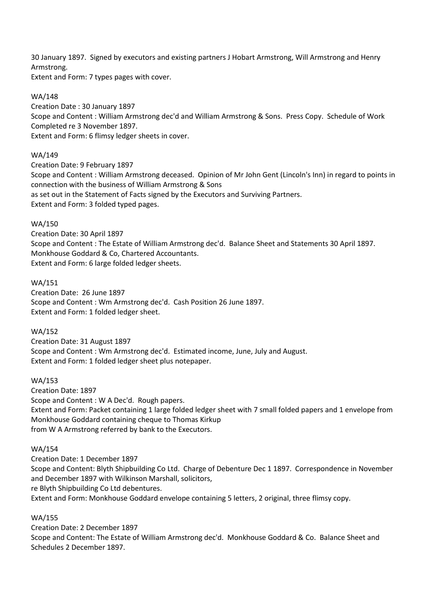30 January 1897. Signed by executors and existing partners J Hobart Armstrong, Will Armstrong and Henry Armstrong.

Extent and Form: 7 types pages with cover.

WA/148

Creation Date : 30 January 1897 Scope and Content : William Armstrong dec'd and William Armstrong & Sons. Press Copy. Schedule of Work Completed re 3 November 1897. Extent and Form: 6 flimsy ledger sheets in cover.

# WA/149

Creation Date: 9 February 1897 Scope and Content : William Armstrong deceased. Opinion of Mr John Gent (Lincoln's Inn) in regard to points in connection with the business of William Armstrong & Sons as set out in the Statement of Facts signed by the Executors and Surviving Partners. Extent and Form: 3 folded typed pages.

# WA/150

Creation Date: 30 April 1897 Scope and Content : The Estate of William Armstrong dec'd. Balance Sheet and Statements 30 April 1897. Monkhouse Goddard & Co, Chartered Accountants. Extent and Form: 6 large folded ledger sheets.

# WA/151

Creation Date: 26 June 1897 Scope and Content : Wm Armstrong dec'd. Cash Position 26 June 1897. Extent and Form: 1 folded ledger sheet.

# WA/152

Creation Date: 31 August 1897 Scope and Content : Wm Armstrong dec'd. Estimated income, June, July and August. Extent and Form: 1 folded ledger sheet plus notepaper.

# WA/153

Creation Date: 1897 Scope and Content : W A Dec'd. Rough papers. Extent and Form: Packet containing 1 large folded ledger sheet with 7 small folded papers and 1 envelope from Monkhouse Goddard containing cheque to Thomas Kirkup from W A Armstrong referred by bank to the Executors.

# WA/154

Creation Date: 1 December 1897 Scope and Content: Blyth Shipbuilding Co Ltd. Charge of Debenture Dec 1 1897. Correspondence in November and December 1897 with Wilkinson Marshall, solicitors, re Blyth Shipbuilding Co Ltd debentures. Extent and Form: Monkhouse Goddard envelope containing 5 letters, 2 original, three flimsy copy.

# WA/155

Creation Date: 2 December 1897 Scope and Content: The Estate of William Armstrong dec'd. Monkhouse Goddard & Co. Balance Sheet and Schedules 2 December 1897.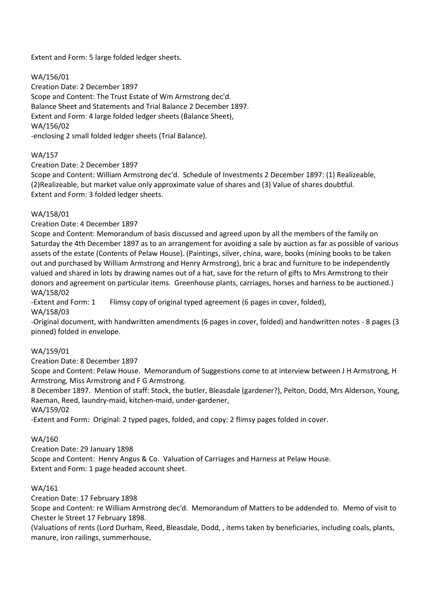Extent and Form: 5 large folded ledger sheets.

WA/156/01

Creation Date: 2 December 1897 Scope and Content: The Trust Estate of Wm Armstrong dec'd. Balance Sheet and Statements and Trial Balance 2 December 1897. Extent and Form: 4 large folded ledger sheets (Balance Sheet), WA/156/02 -enclosing 2 small folded ledger sheets (Trial Balance).

# WA/157

Creation Date: 2 December 1897

Scope and Content: William Armstrong dec'd. Schedule of Investments 2 December 1897: (1) Realizeable, (2)Realizeable, but market value only approximate value of shares and (3) Value of shares doubtful. Extent and Form: 3 folded ledger sheets.

# WA/158/01

Creation Date: 4 December 1897

Scope and Content: Memorandum of basis discussed and agreed upon by all the members of the family on Saturday the 4th December 1897 as to an arrangement for avoiding a sale by auction as far as possible of various assets of the estate (Contents of Pelaw House). (Paintings, silver, china, ware, books (mining books to be taken out and purchased by William Armstrong and Henry Armstrong), bric a brac and furniture to be independently valued and shared in lots by drawing names out of a hat, save for the return of gifts to Mrs Armstrong to their donors and agreement on particular items. Greenhouse plants, carriages, horses and harness to be auctioned.) WA/158/02

-Extent and Form: 1 Flimsy copy of original typed agreement (6 pages in cover, folded),

WA/158/03

-Original document, with handwritten amendments (6 pages in cover, folded) and handwritten notes - 8 pages (3 pinned) folded in envelope.

# WA/159/01

Creation Date: 8 December 1897

Scope and Content: Pelaw House. Memorandum of Suggestions come to at interview between J H Armstrong, H Armstrong, Miss Armstrong and F G Armstrong.

8 December 1897. Mention of staff: Stock, the butler, Bleasdale (gardener?), Pelton, Dodd, Mrs Alderson, Young, Raeman, Reed, laundry-maid, kitchen-maid, under-gardener,

WA/159/02

-Extent and Form: Original: 2 typed pages, folded, and copy: 2 flimsy pages folded in cover.

# WA/160

Creation Date: 29 January 1898 Scope and Content: Henry Angus & Co. Valuation of Carriages and Harness at Pelaw House. Extent and Form: 1 page headed account sheet.

# WA/161

Creation Date: 17 February 1898

Scope and Content: re William Armstrong dec'd. Memorandum of Matters to be addended to. Memo of visit to Chester le Street 17 February 1898.

(Valuations of rents (Lord Durham, Reed, Bleasdale, Dodd, , items taken by beneficiaries, including coals, plants, manure, iron railings, summerhouse,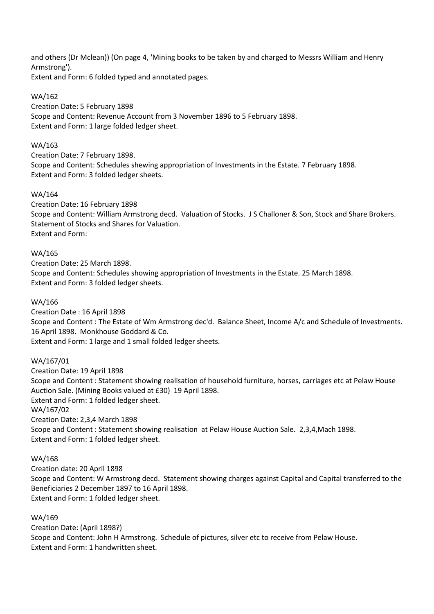and others (Dr Mclean)) (On page 4, 'Mining books to be taken by and charged to Messrs William and Henry Armstrong').

Extent and Form: 6 folded typed and annotated pages.

# WA/162

Creation Date: 5 February 1898 Scope and Content: Revenue Account from 3 November 1896 to 5 February 1898. Extent and Form: 1 large folded ledger sheet.

## WA/163

Creation Date: 7 February 1898. Scope and Content: Schedules shewing appropriation of Investments in the Estate. 7 February 1898. Extent and Form: 3 folded ledger sheets.

## WA/164

Creation Date: 16 February 1898 Scope and Content: William Armstrong decd. Valuation of Stocks. J S Challoner & Son, Stock and Share Brokers. Statement of Stocks and Shares for Valuation. Extent and Form:

## WA/165

Creation Date: 25 March 1898. Scope and Content: Schedules showing appropriation of Investments in the Estate. 25 March 1898. Extent and Form: 3 folded ledger sheets.

## WA/166

Creation Date : 16 April 1898 Scope and Content : The Estate of Wm Armstrong dec'd. Balance Sheet, Income A/c and Schedule of Investments. 16 April 1898. Monkhouse Goddard & Co. Extent and Form: 1 large and 1 small folded ledger sheets.

# WA/167/01

Creation Date: 19 April 1898 Scope and Content : Statement showing realisation of household furniture, horses, carriages etc at Pelaw House Auction Sale. (Mining Books valued at £30) 19 April 1898. Extent and Form: 1 folded ledger sheet. WA/167/02 Creation Date: 2,3,4 March 1898 Scope and Content : Statement showing realisation at Pelaw House Auction Sale. 2,3,4,Mach 1898. Extent and Form: 1 folded ledger sheet.

#### WA/168

Creation date: 20 April 1898 Scope and Content: W Armstrong decd. Statement showing charges against Capital and Capital transferred to the Beneficiaries 2 December 1897 to 16 April 1898. Extent and Form: 1 folded ledger sheet.

#### WA/169

Creation Date: (April 1898?) Scope and Content: John H Armstrong. Schedule of pictures, silver etc to receive from Pelaw House. Extent and Form: 1 handwritten sheet.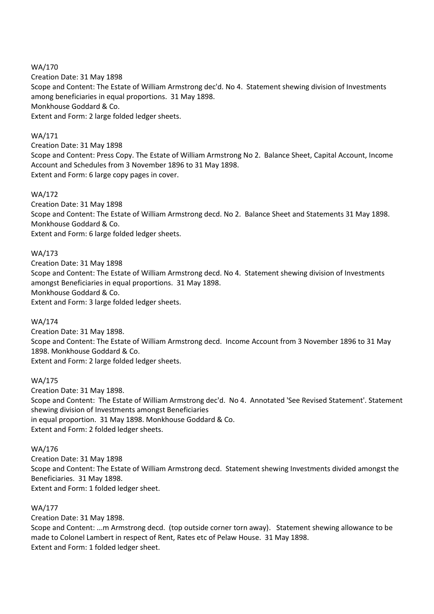WA/170 Creation Date: 31 May 1898 Scope and Content: The Estate of William Armstrong dec'd. No 4. Statement shewing division of Investments among beneficiaries in equal proportions. 31 May 1898. Monkhouse Goddard & Co. Extent and Form: 2 large folded ledger sheets.

# WA/171

Creation Date: 31 May 1898 Scope and Content: Press Copy. The Estate of William Armstrong No 2. Balance Sheet, Capital Account, Income Account and Schedules from 3 November 1896 to 31 May 1898. Extent and Form: 6 large copy pages in cover.

# WA/172

Creation Date: 31 May 1898 Scope and Content: The Estate of William Armstrong decd. No 2. Balance Sheet and Statements 31 May 1898. Monkhouse Goddard & Co. Extent and Form: 6 large folded ledger sheets.

# WA/173

Creation Date: 31 May 1898 Scope and Content: The Estate of William Armstrong decd. No 4. Statement shewing division of Investments amongst Beneficiaries in equal proportions. 31 May 1898. Monkhouse Goddard & Co. Extent and Form: 3 large folded ledger sheets.

# WA/174

Creation Date: 31 May 1898. Scope and Content: The Estate of William Armstrong decd. Income Account from 3 November 1896 to 31 May 1898. Monkhouse Goddard & Co. Extent and Form: 2 large folded ledger sheets.

# WA/175

Creation Date: 31 May 1898. Scope and Content: The Estate of William Armstrong dec'd. No 4. Annotated 'See Revised Statement'. Statement shewing division of Investments amongst Beneficiaries in equal proportion. 31 May 1898. Monkhouse Goddard & Co. Extent and Form: 2 folded ledger sheets.

# WA/176

Creation Date: 31 May 1898 Scope and Content: The Estate of William Armstrong decd. Statement shewing Investments divided amongst the Beneficiaries. 31 May 1898. Extent and Form: 1 folded ledger sheet.

# WA/177

Creation Date: 31 May 1898.

Scope and Content: ...m Armstrong decd. (top outside corner torn away). Statement shewing allowance to be made to Colonel Lambert in respect of Rent, Rates etc of Pelaw House. 31 May 1898. Extent and Form: 1 folded ledger sheet.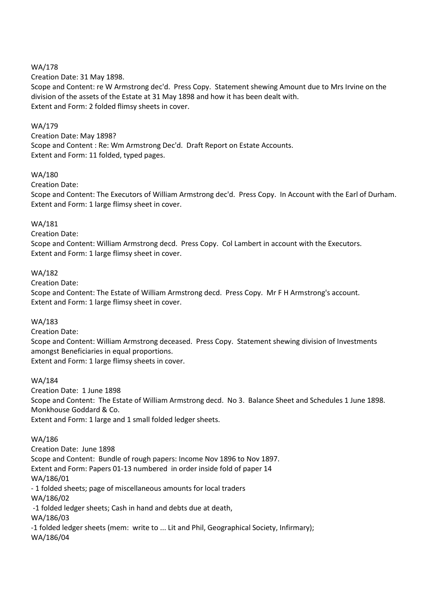### WA/178

Creation Date: 31 May 1898.

Scope and Content: re W Armstrong dec'd. Press Copy. Statement shewing Amount due to Mrs Irvine on the division of the assets of the Estate at 31 May 1898 and how it has been dealt with. Extent and Form: 2 folded flimsy sheets in cover.

### WA/179

Creation Date: May 1898? Scope and Content : Re: Wm Armstrong Dec'd. Draft Report on Estate Accounts. Extent and Form: 11 folded, typed pages.

## WA/180

Creation Date:

Scope and Content: The Executors of William Armstrong dec'd. Press Copy. In Account with the Earl of Durham. Extent and Form: 1 large flimsy sheet in cover.

## WA/181

Creation Date:

Scope and Content: William Armstrong decd. Press Copy. Col Lambert in account with the Executors. Extent and Form: 1 large flimsy sheet in cover.

## WA/182

Creation Date:

Scope and Content: The Estate of William Armstrong decd. Press Copy. Mr F H Armstrong's account. Extent and Form: 1 large flimsy sheet in cover.

# WA/183

Creation Date:

Scope and Content: William Armstrong deceased. Press Copy. Statement shewing division of Investments amongst Beneficiaries in equal proportions.

Extent and Form: 1 large flimsy sheets in cover.

#### WA/184

Creation Date: 1 June 1898 Scope and Content: The Estate of William Armstrong decd. No 3. Balance Sheet and Schedules 1 June 1898. Monkhouse Goddard & Co. Extent and Form: 1 large and 1 small folded ledger sheets.

# WA/186

Creation Date: June 1898 Scope and Content: Bundle of rough papers: Income Nov 1896 to Nov 1897. Extent and Form: Papers 01-13 numbered in order inside fold of paper 14 WA/186/01 - 1 folded sheets; page of miscellaneous amounts for local traders WA/186/02 -1 folded ledger sheets; Cash in hand and debts due at death, WA/186/03 -1 folded ledger sheets (mem: write to ... Lit and Phil, Geographical Society, Infirmary); WA/186/04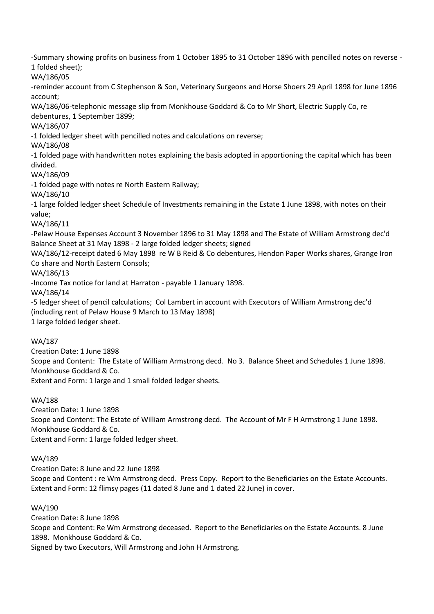-Summary showing profits on business from 1 October 1895 to 31 October 1896 with pencilled notes on reverse - 1 folded sheet);

WA/186/05

-reminder account from C Stephenson & Son, Veterinary Surgeons and Horse Shoers 29 April 1898 for June 1896 account;

WA/186/06-telephonic message slip from Monkhouse Goddard & Co to Mr Short, Electric Supply Co, re debentures, 1 September 1899;

WA/186/07

-1 folded ledger sheet with pencilled notes and calculations on reverse;

WA/186/08

-1 folded page with handwritten notes explaining the basis adopted in apportioning the capital which has been divided.

WA/186/09

-1 folded page with notes re North Eastern Railway;

WA/186/10

-1 large folded ledger sheet Schedule of Investments remaining in the Estate 1 June 1898, with notes on their value;

WA/186/11

-Pelaw House Expenses Account 3 November 1896 to 31 May 1898 and The Estate of William Armstrong dec'd Balance Sheet at 31 May 1898 - 2 large folded ledger sheets; signed

WA/186/12-receipt dated 6 May 1898 re W B Reid & Co debentures, Hendon Paper Works shares, Grange Iron Co share and North Eastern Consols;

WA/186/13

-Income Tax notice for land at Harraton - payable 1 January 1898.

WA/186/14

-5 ledger sheet of pencil calculations; Col Lambert in account with Executors of William Armstrong dec'd (including rent of Pelaw House 9 March to 13 May 1898)

1 large folded ledger sheet.

# WA/187

Creation Date: 1 June 1898

Scope and Content: The Estate of William Armstrong decd. No 3. Balance Sheet and Schedules 1 June 1898. Monkhouse Goddard & Co.

Extent and Form: 1 large and 1 small folded ledger sheets.

# WA/188

Creation Date: 1 June 1898 Scope and Content: The Estate of William Armstrong decd. The Account of Mr F H Armstrong 1 June 1898. Monkhouse Goddard & Co. Extent and Form: 1 large folded ledger sheet.

WA/189

Creation Date: 8 June and 22 June 1898 Scope and Content : re Wm Armstrong decd. Press Copy. Report to the Beneficiaries on the Estate Accounts. Extent and Form: 12 flimsy pages (11 dated 8 June and 1 dated 22 June) in cover.

# WA/190

Creation Date: 8 June 1898 Scope and Content: Re Wm Armstrong deceased. Report to the Beneficiaries on the Estate Accounts. 8 June 1898. Monkhouse Goddard & Co. Signed by two Executors, Will Armstrong and John H Armstrong.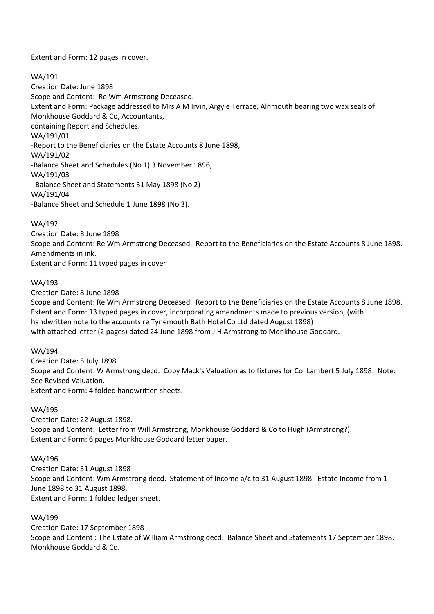Extent and Form: 12 pages in cover.

WA/191

Creation Date: June 1898 Scope and Content: Re Wm Armstrong Deceased. Extent and Form: Package addressed to Mrs A M Irvin, Argyle Terrace, Alnmouth bearing two wax seals of Monkhouse Goddard & Co, Accountants, containing Report and Schedules. WA/191/01 -Report to the Beneficiaries on the Estate Accounts 8 June 1898, WA/191/02 -Balance Sheet and Schedules (No 1) 3 November 1896, WA/191/03 -Balance Sheet and Statements 31 May 1898 (No 2) WA/191/04 -Balance Sheet and Schedule 1 June 1898 (No 3).

WA/192

Creation Date: 8 June 1898 Scope and Content: Re Wm Armstrong Deceased. Report to the Beneficiaries on the Estate Accounts 8 June 1898. Amendments in ink. Extent and Form: 11 typed pages in cover

WA/193

Creation Date: 8 June 1898

Scope and Content: Re Wm Armstrong Deceased. Report to the Beneficiaries on the Estate Accounts 8 June 1898. Extent and Form: 13 typed pages in cover, incorporating amendments made to previous version, (with handwritten note to the accounts re Tynemouth Bath Hotel Co Ltd dated August 1898) with attached letter (2 pages) dated 24 June 1898 from J H Armstrong to Monkhouse Goddard.

WA/194

Creation Date: 5 July 1898 Scope and Content: W Armstrong decd. Copy Mack's Valuation as to fixtures for Col Lambert 5 July 1898. Note: See Revised Valuation. Extent and Form: 4 folded handwritten sheets.

WA/195

Creation Date: 22 August 1898. Scope and Content: Letter from Will Armstrong, Monkhouse Goddard & Co to Hugh (Armstrong?). Extent and Form: 6 pages Monkhouse Goddard letter paper.

WA/196

Creation Date: 31 August 1898 Scope and Content: Wm Armstrong decd. Statement of Income a/c to 31 August 1898. Estate Income from 1 June 1898 to 31 August 1898. Extent and Form: 1 folded ledger sheet.

WA/199

Creation Date: 17 September 1898 Scope and Content : The Estate of William Armstrong decd. Balance Sheet and Statements 17 September 1898. Monkhouse Goddard & Co.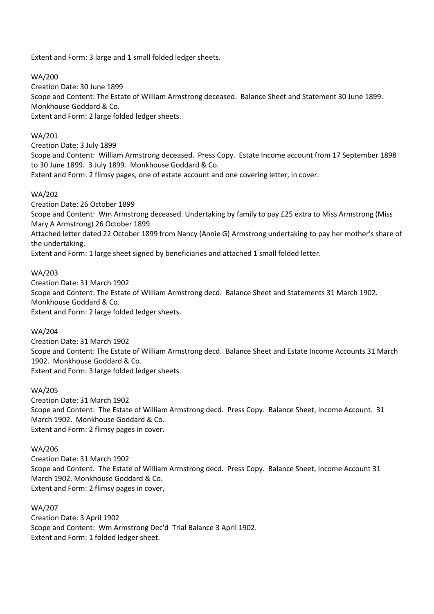Extent and Form: 3 large and 1 small folded ledger sheets.

WA/200 Creation Date: 30 June 1899 Scope and Content: The Estate of William Armstrong deceased. Balance Sheet and Statement 30 June 1899. Monkhouse Goddard & Co. Extent and Form: 2 large folded ledger sheets.

#### WA/201

Creation Date: 3 July 1899

Scope and Content: William Armstrong deceased. Press Copy. Estate Income account from 17 September 1898 to 30 June 1899. 3 July 1899. Monkhouse Goddard & Co. Extent and Form: 2 flimsy pages, one of estate account and one covering letter, in cover.

#### WA/202

Creation Date: 26 October 1899 Scope and Content: Wm Armstrong deceased. Undertaking by family to pay £25 extra to Miss Armstrong (Miss Mary A Armstrong) 26 October 1899. Attached letter dated 22 October 1899 from Nancy (Annie G) Armstrong undertaking to pay her mother's share of the undertaking. Extent and Form: 1 large sheet signed by beneficiaries and attached 1 small folded letter.

#### WA/203

Creation Date: 31 March 1902 Scope and Content: The Estate of William Armstrong decd. Balance Sheet and Statements 31 March 1902. Monkhouse Goddard & Co. Extent and Form: 2 large folded ledger sheets.

#### WA/204

Creation Date: 31 March 1902 Scope and Content: The Estate of William Armstrong decd. Balance Sheet and Estate Income Accounts 31 March 1902. Monkhouse Goddard & Co. Extent and Form: 3 large folded ledger sheets.

#### WA/205

Creation Date: 31 March 1902 Scope and Content: The Estate of William Armstrong decd. Press Copy. Balance Sheet, Income Account. 31 March 1902. Monkhouse Goddard & Co. Extent and Form: 2 flimsy pages in cover.

#### WA/206

Creation Date: 31 March 1902 Scope and Content. The Estate of William Armstrong decd. Press Copy. Balance Sheet, Income Account 31 March 1902. Monkhouse Goddard & Co. Extent and Form: 2 flimsy pages in cover,

#### WA/207

Creation Date: 3 April 1902 Scope and Content: Wm Armstrong Dec'd Trial Balance 3 April 1902. Extent and Form: 1 folded ledger sheet.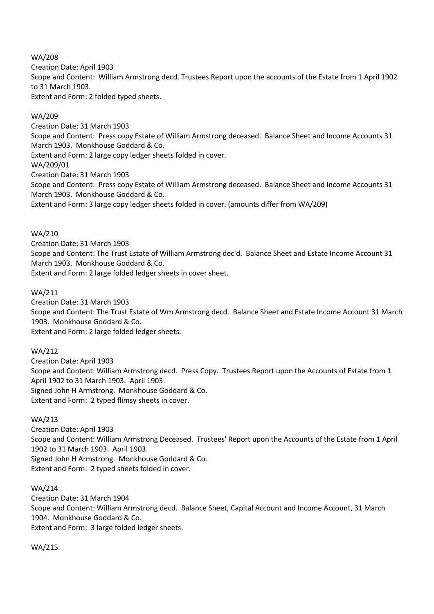WA/208

Creation Date: April 1903

Scope and Content: William Armstrong decd. Trustees Report upon the accounts of the Estate from 1 April 1902 to 31 March 1903.

Extent and Form: 2 folded typed sheets.

# WA/209

Creation Date: 31 March 1903 Scope and Content: Press copy Estate of William Armstrong deceased. Balance Sheet and Income Accounts 31 March 1903. Monkhouse Goddard & Co. Extent and Form: 2 large copy ledger sheets folded in cover. WA/209/01 Creation Date: 31 March 1903 Scope and Content: Press copy Estate of William Armstrong deceased. Balance Sheet and Income Accounts 31 March 1903. Monkhouse Goddard & Co. Extent and Form: 3 large copy ledger sheets folded in cover. (amounts differ from WA/209)

## WA/210

Creation Date: 31 March 1903 Scope and Content: The Trust Estate of William Armstrong dec'd. Balance Sheet and Estate Income Account 31 March 1903. Monkhouse Goddard & Co. Extent and Form: 2 large folded ledger sheets in cover sheet.

# WA/211

Creation Date: 31 March 1903 Scope and Content: The Trust Estate of Wm Armstrong decd. Balance Sheet and Estate Income Account 31 March 1903. Monkhouse Goddard & Co. Extent and Form: 2 large folded ledger sheets.

#### WA/212

Creation Date: April 1903 Scope and Content: William Armstrong decd. Press Copy. Trustees Report upon the Accounts of Estate from 1 April 1902 to 31 March 1903. April 1903. Signed John H Armstrong. Monkhouse Goddard & Co. Extent and Form: 2 typed flimsy sheets in cover.

#### WA/213

Creation Date: April 1903 Scope and Content: William Armstrong Deceased. Trustees' Report upon the Accounts of the Estate from 1 April 1902 to 31 March 1903. April 1903. Signed John H Armstrong. Monkhouse Goddard & Co. Extent and Form: 2 typed sheets folded in cover.

# WA/214

Creation Date: 31 March 1904 Scope and Content: William Armstrong decd. Balance Sheet, Capital Account and Income Account, 31 March 1904. Monkhouse Goddard & Co. Extent and Form: 3 large folded ledger sheets.

WA/215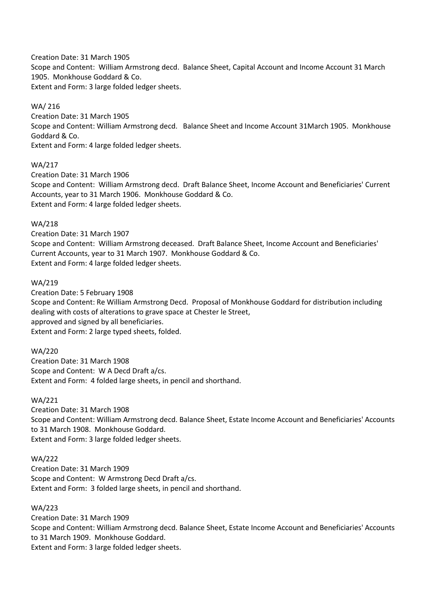Creation Date: 31 March 1905 Scope and Content: William Armstrong decd. Balance Sheet, Capital Account and Income Account 31 March 1905. Monkhouse Goddard & Co. Extent and Form: 3 large folded ledger sheets.

## WA/ 216

Creation Date: 31 March 1905 Scope and Content: William Armstrong decd. Balance Sheet and Income Account 31March 1905. Monkhouse Goddard & Co. Extent and Form: 4 large folded ledger sheets.

# WA/217

Creation Date: 31 March 1906 Scope and Content: William Armstrong decd. Draft Balance Sheet, Income Account and Beneficiaries' Current Accounts, year to 31 March 1906. Monkhouse Goddard & Co. Extent and Form: 4 large folded ledger sheets.

## WA/218

Creation Date: 31 March 1907 Scope and Content: William Armstrong deceased. Draft Balance Sheet, Income Account and Beneficiaries' Current Accounts, year to 31 March 1907. Monkhouse Goddard & Co. Extent and Form: 4 large folded ledger sheets.

## WA/219

Creation Date: 5 February 1908 Scope and Content: Re William Armstrong Decd. Proposal of Monkhouse Goddard for distribution including dealing with costs of alterations to grave space at Chester le Street, approved and signed by all beneficiaries. Extent and Form: 2 large typed sheets, folded.

#### WA/220

Creation Date: 31 March 1908 Scope and Content: W A Decd Draft a/cs. Extent and Form: 4 folded large sheets, in pencil and shorthand.

#### WA/221

Creation Date: 31 March 1908 Scope and Content: William Armstrong decd. Balance Sheet, Estate Income Account and Beneficiaries' Accounts to 31 March 1908. Monkhouse Goddard. Extent and Form: 3 large folded ledger sheets.

#### WA/222

Creation Date: 31 March 1909 Scope and Content: W Armstrong Decd Draft a/cs. Extent and Form: 3 folded large sheets, in pencil and shorthand.

# WA/223

Creation Date: 31 March 1909 Scope and Content: William Armstrong decd. Balance Sheet, Estate Income Account and Beneficiaries' Accounts to 31 March 1909. Monkhouse Goddard. Extent and Form: 3 large folded ledger sheets.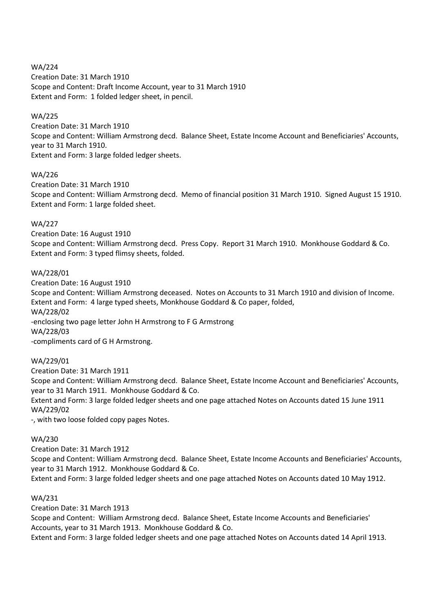WA/224 Creation Date: 31 March 1910 Scope and Content: Draft Income Account, year to 31 March 1910 Extent and Form: 1 folded ledger sheet, in pencil.

# WA/225

Creation Date: 31 March 1910 Scope and Content: William Armstrong decd. Balance Sheet, Estate Income Account and Beneficiaries' Accounts, year to 31 March 1910. Extent and Form: 3 large folded ledger sheets.

## WA/226

Creation Date: 31 March 1910 Scope and Content: William Armstrong decd. Memo of financial position 31 March 1910. Signed August 15 1910. Extent and Form: 1 large folded sheet.

## WA/227

Creation Date: 16 August 1910 Scope and Content: William Armstrong decd. Press Copy. Report 31 March 1910. Monkhouse Goddard & Co. Extent and Form: 3 typed flimsy sheets, folded.

## WA/228/01

Creation Date: 16 August 1910 Scope and Content: William Armstrong deceased. Notes on Accounts to 31 March 1910 and division of Income. Extent and Form: 4 large typed sheets, Monkhouse Goddard & Co paper, folded, WA/228/02 -enclosing two page letter John H Armstrong to F G Armstrong WA/228/03 -compliments card of G H Armstrong.

# WA/229/01

Creation Date: 31 March 1911

Scope and Content: William Armstrong decd. Balance Sheet, Estate Income Account and Beneficiaries' Accounts, year to 31 March 1911. Monkhouse Goddard & Co.

Extent and Form: 3 large folded ledger sheets and one page attached Notes on Accounts dated 15 June 1911 WA/229/02

-, with two loose folded copy pages Notes.

#### WA/230

Creation Date: 31 March 1912

Scope and Content: William Armstrong decd. Balance Sheet, Estate Income Accounts and Beneficiaries' Accounts, year to 31 March 1912. Monkhouse Goddard & Co.

Extent and Form: 3 large folded ledger sheets and one page attached Notes on Accounts dated 10 May 1912.

# WA/231

Creation Date: 31 March 1913

Scope and Content: William Armstrong decd. Balance Sheet, Estate Income Accounts and Beneficiaries' Accounts, year to 31 March 1913. Monkhouse Goddard & Co.

Extent and Form: 3 large folded ledger sheets and one page attached Notes on Accounts dated 14 April 1913.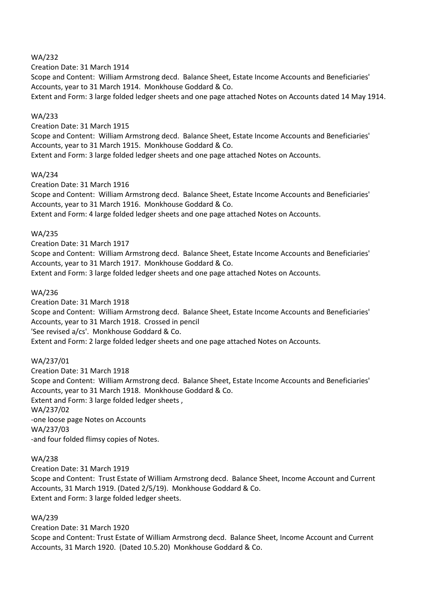#### WA/232

Creation Date: 31 March 1914 Scope and Content: William Armstrong decd. Balance Sheet, Estate Income Accounts and Beneficiaries' Accounts, year to 31 March 1914. Monkhouse Goddard & Co.

Extent and Form: 3 large folded ledger sheets and one page attached Notes on Accounts dated 14 May 1914.

### WA/233

Creation Date: 31 March 1915

Scope and Content: William Armstrong decd. Balance Sheet, Estate Income Accounts and Beneficiaries' Accounts, year to 31 March 1915. Monkhouse Goddard & Co.

Extent and Form: 3 large folded ledger sheets and one page attached Notes on Accounts.

## WA/234

Creation Date: 31 March 1916 Scope and Content: William Armstrong decd. Balance Sheet, Estate Income Accounts and Beneficiaries' Accounts, year to 31 March 1916. Monkhouse Goddard & Co. Extent and Form: 4 large folded ledger sheets and one page attached Notes on Accounts.

## WA/235

Creation Date: 31 March 1917

Scope and Content: William Armstrong decd. Balance Sheet, Estate Income Accounts and Beneficiaries' Accounts, year to 31 March 1917. Monkhouse Goddard & Co.

Extent and Form: 3 large folded ledger sheets and one page attached Notes on Accounts.

## WA/236

Creation Date: 31 March 1918 Scope and Content: William Armstrong decd. Balance Sheet, Estate Income Accounts and Beneficiaries' Accounts, year to 31 March 1918. Crossed in pencil 'See revised a/cs'. Monkhouse Goddard & Co. Extent and Form: 2 large folded ledger sheets and one page attached Notes on Accounts.

#### WA/237/01

Creation Date: 31 March 1918 Scope and Content: William Armstrong decd. Balance Sheet, Estate Income Accounts and Beneficiaries' Accounts, year to 31 March 1918. Monkhouse Goddard & Co. Extent and Form: 3 large folded ledger sheets , WA/237/02 -one loose page Notes on Accounts WA/237/03 -and four folded flimsy copies of Notes.

#### WA/238

Creation Date: 31 March 1919 Scope and Content: Trust Estate of William Armstrong decd. Balance Sheet, Income Account and Current Accounts, 31 March 1919. (Dated 2/5/19). Monkhouse Goddard & Co. Extent and Form: 3 large folded ledger sheets.

#### WA/239

Creation Date: 31 March 1920 Scope and Content: Trust Estate of William Armstrong decd. Balance Sheet, Income Account and Current Accounts, 31 March 1920. (Dated 10.5.20) Monkhouse Goddard & Co.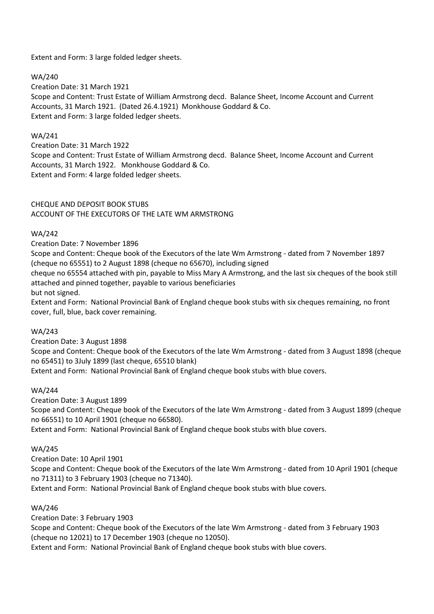Extent and Form: 3 large folded ledger sheets.

## WA/240

Creation Date: 31 March 1921 Scope and Content: Trust Estate of William Armstrong decd. Balance Sheet, Income Account and Current Accounts, 31 March 1921. (Dated 26.4.1921) Monkhouse Goddard & Co. Extent and Form: 3 large folded ledger sheets.

### WA/241

Creation Date: 31 March 1922 Scope and Content: Trust Estate of William Armstrong decd. Balance Sheet, Income Account and Current Accounts, 31 March 1922. Monkhouse Goddard & Co. Extent and Form: 4 large folded ledger sheets.

# CHEQUE AND DEPOSIT BOOK STUBS ACCOUNT OF THE EXECUTORS OF THE LATE WM ARMSTRONG

## WA/242

Creation Date: 7 November 1896

Scope and Content: Cheque book of the Executors of the late Wm Armstrong - dated from 7 November 1897 (cheque no 65551) to 2 August 1898 (cheque no 65670), including signed

cheque no 65554 attached with pin, payable to Miss Mary A Armstrong, and the last six cheques of the book still attached and pinned together, payable to various beneficiaries

but not signed.

Extent and Form: National Provincial Bank of England cheque book stubs with six cheques remaining, no front cover, full, blue, back cover remaining.

#### WA/243

Creation Date: 3 August 1898 Scope and Content: Cheque book of the Executors of the late Wm Armstrong - dated from 3 August 1898 (cheque no 65451) to 3July 1899 (last cheque, 65510 blank) Extent and Form: National Provincial Bank of England cheque book stubs with blue covers.

#### WA/244

Creation Date: 3 August 1899

Scope and Content: Cheque book of the Executors of the late Wm Armstrong - dated from 3 August 1899 (cheque no 66551) to 10 April 1901 (cheque no 66580).

Extent and Form: National Provincial Bank of England cheque book stubs with blue covers.

# WA/245

Creation Date: 10 April 1901

Scope and Content: Cheque book of the Executors of the late Wm Armstrong - dated from 10 April 1901 (cheque no 71311) to 3 February 1903 (cheque no 71340).

Extent and Form: National Provincial Bank of England cheque book stubs with blue covers.

#### WA/246

Creation Date: 3 February 1903

Scope and Content: Cheque book of the Executors of the late Wm Armstrong - dated from 3 February 1903 (cheque no 12021) to 17 December 1903 (cheque no 12050).

Extent and Form: National Provincial Bank of England cheque book stubs with blue covers.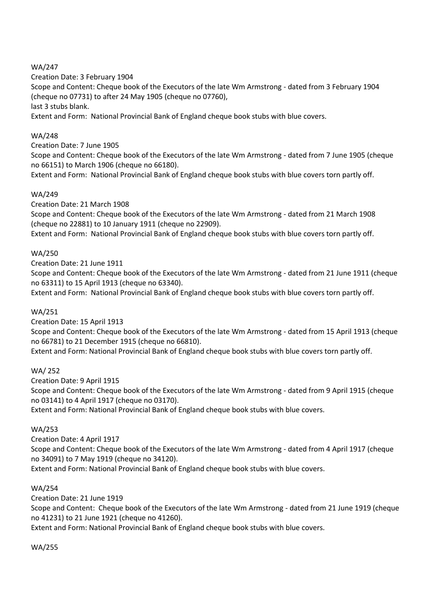# WA/247

Creation Date: 3 February 1904 Scope and Content: Cheque book of the Executors of the late Wm Armstrong - dated from 3 February 1904 (cheque no 07731) to after 24 May 1905 (cheque no 07760), last 3 stubs blank. Extent and Form: National Provincial Bank of England cheque book stubs with blue covers.

# WA/248

Creation Date: 7 June 1905

Scope and Content: Cheque book of the Executors of the late Wm Armstrong - dated from 7 June 1905 (cheque no 66151) to March 1906 (cheque no 66180).

Extent and Form: National Provincial Bank of England cheque book stubs with blue covers torn partly off.

# WA/249

Creation Date: 21 March 1908

Scope and Content: Cheque book of the Executors of the late Wm Armstrong - dated from 21 March 1908 (cheque no 22881) to 10 January 1911 (cheque no 22909).

Extent and Form: National Provincial Bank of England cheque book stubs with blue covers torn partly off.

## WA/250

Creation Date: 21 June 1911

Scope and Content: Cheque book of the Executors of the late Wm Armstrong - dated from 21 June 1911 (cheque no 63311) to 15 April 1913 (cheque no 63340).

Extent and Form: National Provincial Bank of England cheque book stubs with blue covers torn partly off.

# WA/251

Creation Date: 15 April 1913

Scope and Content: Cheque book of the Executors of the late Wm Armstrong - dated from 15 April 1913 (cheque no 66781) to 21 December 1915 (cheque no 66810).

Extent and Form: National Provincial Bank of England cheque book stubs with blue covers torn partly off.

# WA/ 252

Creation Date: 9 April 1915 Scope and Content: Cheque book of the Executors of the late Wm Armstrong - dated from 9 April 1915 (cheque no 03141) to 4 April 1917 (cheque no 03170). Extent and Form: National Provincial Bank of England cheque book stubs with blue covers.

#### WA/253

Creation Date: 4 April 1917 Scope and Content: Cheque book of the Executors of the late Wm Armstrong - dated from 4 April 1917 (cheque no 34091) to 7 May 1919 (cheque no 34120). Extent and Form: National Provincial Bank of England cheque book stubs with blue covers.

#### WA/254

Creation Date: 21 June 1919 Scope and Content: Cheque book of the Executors of the late Wm Armstrong - dated from 21 June 1919 (cheque no 41231) to 21 June 1921 (cheque no 41260).

Extent and Form: National Provincial Bank of England cheque book stubs with blue covers.

#### WA/255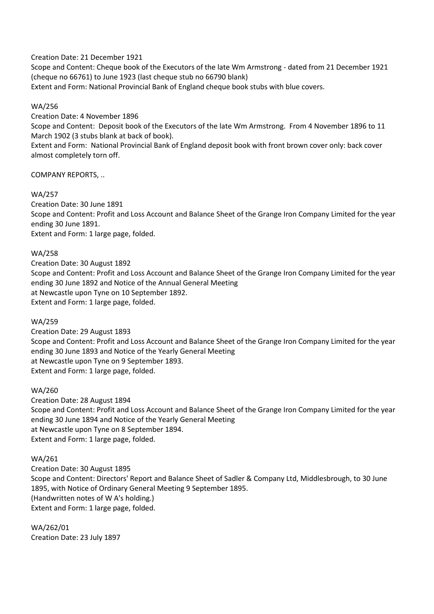Creation Date: 21 December 1921

Scope and Content: Cheque book of the Executors of the late Wm Armstrong - dated from 21 December 1921 (cheque no 66761) to June 1923 (last cheque stub no 66790 blank)

Extent and Form: National Provincial Bank of England cheque book stubs with blue covers.

# WA/256

Creation Date: 4 November 1896

Scope and Content: Deposit book of the Executors of the late Wm Armstrong. From 4 November 1896 to 11 March 1902 (3 stubs blank at back of book).

Extent and Form: National Provincial Bank of England deposit book with front brown cover only: back cover almost completely torn off.

COMPANY REPORTS, ..

## WA/257

Creation Date: 30 June 1891 Scope and Content: Profit and Loss Account and Balance Sheet of the Grange Iron Company Limited for the year ending 30 June 1891. Extent and Form: 1 large page, folded.

## WA/258

Creation Date: 30 August 1892 Scope and Content: Profit and Loss Account and Balance Sheet of the Grange Iron Company Limited for the year ending 30 June 1892 and Notice of the Annual General Meeting at Newcastle upon Tyne on 10 September 1892. Extent and Form: 1 large page, folded.

#### WA/259

Creation Date: 29 August 1893 Scope and Content: Profit and Loss Account and Balance Sheet of the Grange Iron Company Limited for the year ending 30 June 1893 and Notice of the Yearly General Meeting at Newcastle upon Tyne on 9 September 1893. Extent and Form: 1 large page, folded.

WA/260

Creation Date: 28 August 1894 Scope and Content: Profit and Loss Account and Balance Sheet of the Grange Iron Company Limited for the year ending 30 June 1894 and Notice of the Yearly General Meeting at Newcastle upon Tyne on 8 September 1894. Extent and Form: 1 large page, folded.

#### WA/261

Creation Date: 30 August 1895 Scope and Content: Directors' Report and Balance Sheet of Sadler & Company Ltd, Middlesbrough, to 30 June 1895, with Notice of Ordinary General Meeting 9 September 1895. (Handwritten notes of W A's holding.) Extent and Form: 1 large page, folded.

WA/262/01 Creation Date: 23 July 1897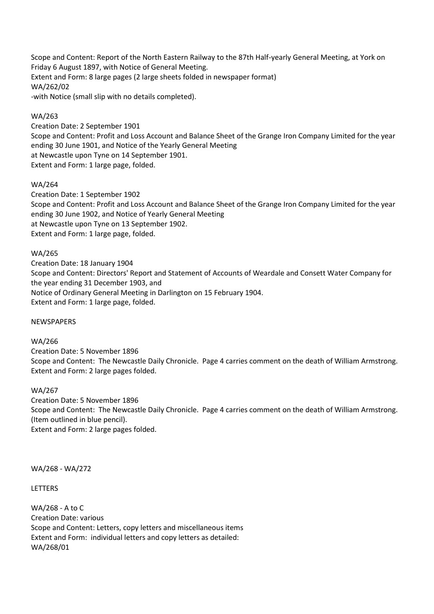Scope and Content: Report of the North Eastern Railway to the 87th Half-yearly General Meeting, at York on Friday 6 August 1897, with Notice of General Meeting. Extent and Form: 8 large pages (2 large sheets folded in newspaper format) WA/262/02 -with Notice (small slip with no details completed).

## WA/263

Creation Date: 2 September 1901 Scope and Content: Profit and Loss Account and Balance Sheet of the Grange Iron Company Limited for the year ending 30 June 1901, and Notice of the Yearly General Meeting at Newcastle upon Tyne on 14 September 1901. Extent and Form: 1 large page, folded.

## WA/264

Creation Date: 1 September 1902 Scope and Content: Profit and Loss Account and Balance Sheet of the Grange Iron Company Limited for the year ending 30 June 1902, and Notice of Yearly General Meeting at Newcastle upon Tyne on 13 September 1902. Extent and Form: 1 large page, folded.

## WA/265

Creation Date: 18 January 1904 Scope and Content: Directors' Report and Statement of Accounts of Weardale and Consett Water Company for the year ending 31 December 1903, and Notice of Ordinary General Meeting in Darlington on 15 February 1904. Extent and Form: 1 large page, folded.

#### NEWSPAPERS

#### WA/266

Creation Date: 5 November 1896 Scope and Content: The Newcastle Daily Chronicle. Page 4 carries comment on the death of William Armstrong. Extent and Form: 2 large pages folded.

#### WA/267

Creation Date: 5 November 1896 Scope and Content: The Newcastle Daily Chronicle. Page 4 carries comment on the death of William Armstrong. (Item outlined in blue pencil). Extent and Form: 2 large pages folded.

WA/268 - WA/272

LETTERS

WA/268 - A to C Creation Date: various Scope and Content: Letters, copy letters and miscellaneous items Extent and Form: individual letters and copy letters as detailed: WA/268/01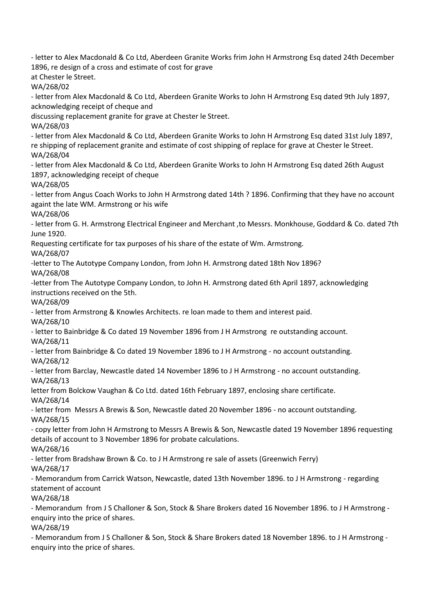- letter to Alex Macdonald & Co Ltd, Aberdeen Granite Works frim John H Armstrong Esq dated 24th December 1896, re design of a cross and estimate of cost for grave at Chester le Street. WA/268/02 - letter from Alex Macdonald & Co Ltd, Aberdeen Granite Works to John H Armstrong Esq dated 9th July 1897, acknowledging receipt of cheque and discussing replacement granite for grave at Chester le Street. WA/268/03 - letter from Alex Macdonald & Co Ltd, Aberdeen Granite Works to John H Armstrong Esq dated 31st July 1897, re shipping of replacement granite and estimate of cost shipping of replace for grave at Chester le Street. WA/268/04 - letter from Alex Macdonald & Co Ltd, Aberdeen Granite Works to John H Armstrong Esq dated 26th August 1897, acknowledging receipt of cheque WA/268/05 - letter from Angus Coach Works to John H Armstrong dated 14th ? 1896. Confirming that they have no account againt the late WM. Armstrong or his wife WA/268/06

- letter from G. H. Armstrong Electrical Engineer and Merchant ,to Messrs. Monkhouse, Goddard & Co. dated 7th June 1920.

Requesting certificate for tax purposes of his share of the estate of Wm. Armstrong.

WA/268/07

-letter to The Autotype Company London, from John H. Armstrong dated 18th Nov 1896?

WA/268/08

-letter from The Autotype Company London, to John H. Armstrong dated 6th April 1897, acknowledging instructions received on the 5th.

WA/268/09

- letter from Armstrong & Knowles Architects. re loan made to them and interest paid.

WA/268/10

- letter to Bainbridge & Co dated 19 November 1896 from J H Armstrong re outstanding account. WA/268/11

- letter from Bainbridge & Co dated 19 November 1896 to J H Armstrong - no account outstanding. WA/268/12

- letter from Barclay, Newcastle dated 14 November 1896 to J H Armstrong - no account outstanding. WA/268/13

letter from Bolckow Vaughan & Co Ltd. dated 16th February 1897, enclosing share certificate. WA/268/14

- letter from Messrs A Brewis & Son, Newcastle dated 20 November 1896 - no account outstanding. WA/268/15

- copy letter from John H Armstrong to Messrs A Brewis & Son, Newcastle dated 19 November 1896 requesting details of account to 3 November 1896 for probate calculations. WA/268/16

- letter from Bradshaw Brown & Co. to J H Armstrong re sale of assets (Greenwich Ferry)

WA/268/17

- Memorandum from Carrick Watson, Newcastle, dated 13th November 1896. to J H Armstrong - regarding statement of account

WA/268/18

- Memorandum from J S Challoner & Son, Stock & Share Brokers dated 16 November 1896. to J H Armstrong enquiry into the price of shares.

WA/268/19

- Memorandum from J S Challoner & Son, Stock & Share Brokers dated 18 November 1896. to J H Armstrong enquiry into the price of shares.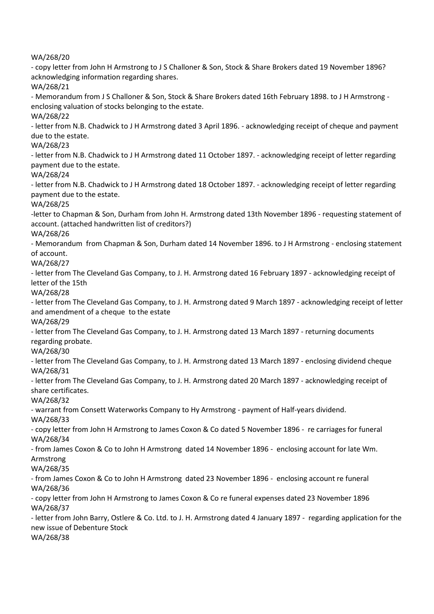WA/268/20

- copy letter from John H Armstrong to J S Challoner & Son, Stock & Share Brokers dated 19 November 1896? acknowledging information regarding shares. WA/268/21 - Memorandum from J S Challoner & Son, Stock & Share Brokers dated 16th February 1898. to J H Armstrong enclosing valuation of stocks belonging to the estate. WA/268/22 - letter from N.B. Chadwick to J H Armstrong dated 3 April 1896. - acknowledging receipt of cheque and payment due to the estate. WA/268/23 - letter from N.B. Chadwick to J H Armstrong dated 11 October 1897. - acknowledging receipt of letter regarding payment due to the estate. WA/268/24 - letter from N.B. Chadwick to J H Armstrong dated 18 October 1897. - acknowledging receipt of letter regarding payment due to the estate. WA/268/25 -letter to Chapman & Son, Durham from John H. Armstrong dated 13th November 1896 - requesting statement of account. (attached handwritten list of creditors?) WA/268/26 - Memorandum from Chapman & Son, Durham dated 14 November 1896. to J H Armstrong - enclosing statement of account. WA/268/27 - letter from The Cleveland Gas Company, to J. H. Armstrong dated 16 February 1897 - acknowledging receipt of letter of the 15th WA/268/28 - letter from The Cleveland Gas Company, to J. H. Armstrong dated 9 March 1897 - acknowledging receipt of letter and amendment of a cheque to the estate WA/268/29 - letter from The Cleveland Gas Company, to J. H. Armstrong dated 13 March 1897 - returning documents regarding probate. WA/268/30 - letter from The Cleveland Gas Company, to J. H. Armstrong dated 13 March 1897 - enclosing dividend cheque WA/268/31 - letter from The Cleveland Gas Company, to J. H. Armstrong dated 20 March 1897 - acknowledging receipt of share certificates.

WA/268/32

- warrant from Consett Waterworks Company to Hy Armstrong - payment of Half-years dividend. WA/268/33

- copy letter from John H Armstrong to James Coxon & Co dated 5 November 1896 - re carriages for funeral WA/268/34

- from James Coxon & Co to John H Armstrong dated 14 November 1896 - enclosing account for late Wm. Armstrong

WA/268/35

- from James Coxon & Co to John H Armstrong dated 23 November 1896 - enclosing account re funeral WA/268/36

- copy letter from John H Armstrong to James Coxon & Co re funeral expenses dated 23 November 1896 WA/268/37

- letter from John Barry, Ostlere & Co. Ltd. to J. H. Armstrong dated 4 January 1897 - regarding application for the new issue of Debenture Stock

WA/268/38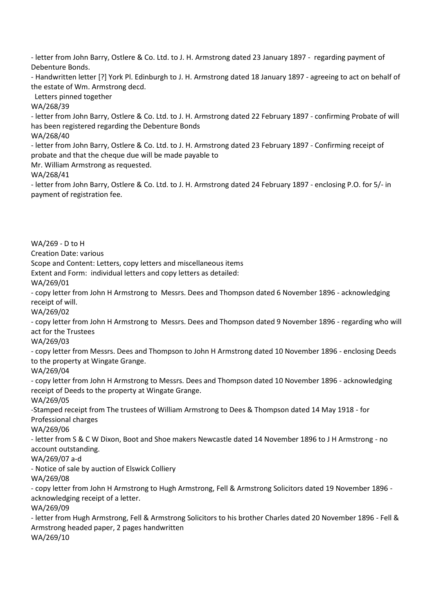- letter from John Barry, Ostlere & Co. Ltd. to J. H. Armstrong dated 23 January 1897 - regarding payment of Debenture Bonds.

- Handwritten letter [?] York Pl. Edinburgh to J. H. Armstrong dated 18 January 1897 - agreeing to act on behalf of the estate of Wm. Armstrong decd.

Letters pinned together

WA/268/39

- letter from John Barry, Ostlere & Co. Ltd. to J. H. Armstrong dated 22 February 1897 - confirming Probate of will has been registered regarding the Debenture Bonds

WA/268/40

- letter from John Barry, Ostlere & Co. Ltd. to J. H. Armstrong dated 23 February 1897 - Confirming receipt of probate and that the cheque due will be made payable to

Mr. William Armstrong as requested.

WA/268/41

- letter from John Barry, Ostlere & Co. Ltd. to J. H. Armstrong dated 24 February 1897 - enclosing P.O. for 5/- in payment of registration fee.

WA/269 - D to H Creation Date: various Scope and Content: Letters, copy letters and miscellaneous items Extent and Form: individual letters and copy letters as detailed: WA/269/01 - copy letter from John H Armstrong to Messrs. Dees and Thompson dated 6 November 1896 - acknowledging receipt of will. WA/269/02 - copy letter from John H Armstrong to Messrs. Dees and Thompson dated 9 November 1896 - regarding who will act for the Trustees WA/269/03 - copy letter from Messrs. Dees and Thompson to John H Armstrong dated 10 November 1896 - enclosing Deeds to the property at Wingate Grange. WA/269/04 - copy letter from John H Armstrong to Messrs. Dees and Thompson dated 10 November 1896 - acknowledging receipt of Deeds to the property at Wingate Grange. WA/269/05 -Stamped receipt from The trustees of William Armstrong to Dees & Thompson dated 14 May 1918 - for Professional charges WA/269/06 - letter from S & C W Dixon, Boot and Shoe makers Newcastle dated 14 November 1896 to J H Armstrong - no account outstanding. WA/269/07 a-d - Notice of sale by auction of Elswick Colliery WA/269/08 - copy letter from John H Armstrong to Hugh Armstrong, Fell & Armstrong Solicitors dated 19 November 1896 acknowledging receipt of a letter. WA/269/09 - letter from Hugh Armstrong, Fell & Armstrong Solicitors to his brother Charles dated 20 November 1896 - Fell & Armstrong headed paper, 2 pages handwritten WA/269/10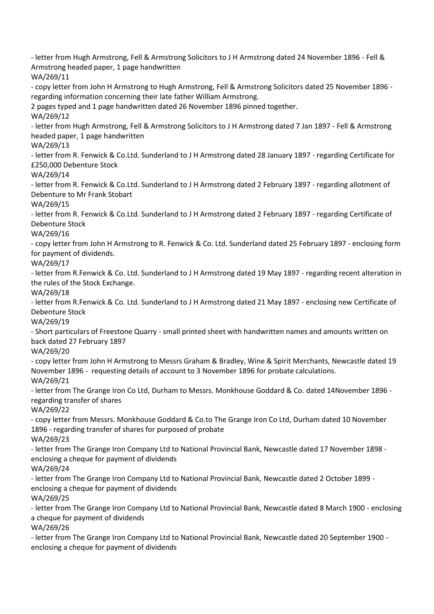- letter from Hugh Armstrong, Fell & Armstrong Solicitors to J H Armstrong dated 24 November 1896 - Fell & Armstrong headed paper, 1 page handwritten WA/269/11 - copy letter from John H Armstrong to Hugh Armstrong, Fell & Armstrong Solicitors dated 25 November 1896 regarding information concerning their late father William Armstrong. 2 pages typed and 1 page handwritten dated 26 November 1896 pinned together. WA/269/12 - letter from Hugh Armstrong, Fell & Armstrong Solicitors to J H Armstrong dated 7 Jan 1897 - Fell & Armstrong headed paper, 1 page handwritten WA/269/13 - letter from R. Fenwick & Co.Ltd. Sunderland to J H Armstrong dated 28 January 1897 - regarding Certificate for £250,000 Debenture Stock WA/269/14 - letter from R. Fenwick & Co.Ltd. Sunderland to J H Armstrong dated 2 February 1897 - regarding allotment of Debenture to Mr Frank Stobart WA/269/15 - letter from R. Fenwick & Co.Ltd. Sunderland to J H Armstrong dated 2 February 1897 - regarding Certificate of Debenture Stock WA/269/16 - copy letter from John H Armstrong to R. Fenwick & Co. Ltd. Sunderland dated 25 February 1897 - enclosing form for payment of dividends. WA/269/17 - letter from R.Fenwick & Co. Ltd. Sunderland to J H Armstrong dated 19 May 1897 - regarding recent alteration in the rules of the Stock Exchange. WA/269/18 - letter from R.Fenwick & Co. Ltd. Sunderland to J H Armstrong dated 21 May 1897 - enclosing new Certificate of Debenture Stock WA/269/19 - Short particulars of Freestone Quarry - small printed sheet with handwritten names and amounts written on back dated 27 February 1897 WA/269/20 - copy letter from John H Armstrong to Messrs Graham & Bradley, Wine & Spirit Merchants, Newcastle dated 19 November 1896 - requesting details of account to 3 November 1896 for probate calculations. WA/269/21 - letter from The Grange Iron Co Ltd, Durham to Messrs. Monkhouse Goddard & Co. dated 14November 1896 regarding transfer of shares WA/269/22 - copy letter from Messrs. Monkhouse Goddard & Co.to The Grange Iron Co Ltd, Durham dated 10 November 1896 - regarding transfer of shares for purposed of probate WA/269/23 - letter from The Grange Iron Company Ltd to National Provincial Bank, Newcastle dated 17 November 1898 enclosing a cheque for payment of dividends WA/269/24 - letter from The Grange Iron Company Ltd to National Provincial Bank, Newcastle dated 2 October 1899 enclosing a cheque for payment of dividends WA/269/25 - letter from The Grange Iron Company Ltd to National Provincial Bank, Newcastle dated 8 March 1900 - enclosing a cheque for payment of dividends WA/269/26

- letter from The Grange Iron Company Ltd to National Provincial Bank, Newcastle dated 20 September 1900 enclosing a cheque for payment of dividends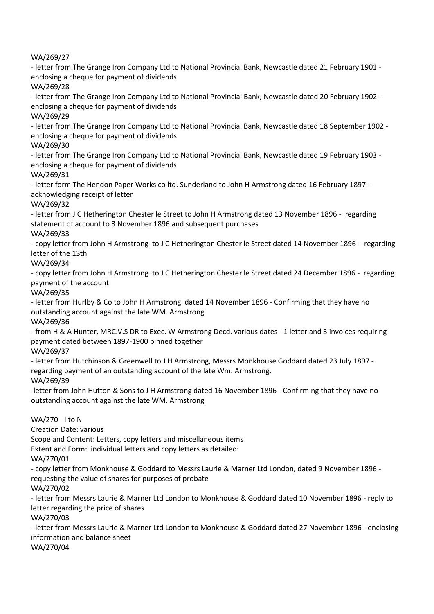WA/269/27

- letter from The Grange Iron Company Ltd to National Provincial Bank, Newcastle dated 21 February 1901 enclosing a cheque for payment of dividends WA/269/28

- letter from The Grange Iron Company Ltd to National Provincial Bank, Newcastle dated 20 February 1902 enclosing a cheque for payment of dividends WA/269/29

- letter from The Grange Iron Company Ltd to National Provincial Bank, Newcastle dated 18 September 1902 enclosing a cheque for payment of dividends

WA/269/30

- letter from The Grange Iron Company Ltd to National Provincial Bank, Newcastle dated 19 February 1903 enclosing a cheque for payment of dividends

WA/269/31

- letter form The Hendon Paper Works co ltd. Sunderland to John H Armstrong dated 16 February 1897 acknowledging receipt of letter

WA/269/32

- letter from J C Hetherington Chester le Street to John H Armstrong dated 13 November 1896 - regarding statement of account to 3 November 1896 and subsequent purchases

WA/269/33

- copy letter from John H Armstrong to J C Hetherington Chester le Street dated 14 November 1896 - regarding letter of the 13th

WA/269/34

- copy letter from John H Armstrong to J C Hetherington Chester le Street dated 24 December 1896 - regarding payment of the account

WA/269/35

- letter from Hurlby & Co to John H Armstrong dated 14 November 1896 - Confirming that they have no outstanding account against the late WM. Armstrong

WA/269/36

- from H & A Hunter, MRC.V.S DR to Exec. W Armstrong Decd. various dates - 1 letter and 3 invoices requiring payment dated between 1897-1900 pinned together

WA/269/37

- letter from Hutchinson & Greenwell to J H Armstrong, Messrs Monkhouse Goddard dated 23 July 1897 regarding payment of an outstanding account of the late Wm. Armstrong.

WA/269/39

-letter from John Hutton & Sons to J H Armstrong dated 16 November 1896 - Confirming that they have no outstanding account against the late WM. Armstrong

WA/270 - I to N

Creation Date: various

Scope and Content: Letters, copy letters and miscellaneous items

Extent and Form: individual letters and copy letters as detailed:

WA/270/01

- copy letter from Monkhouse & Goddard to Messrs Laurie & Marner Ltd London, dated 9 November 1896 requesting the value of shares for purposes of probate

WA/270/02

- letter from Messrs Laurie & Marner Ltd London to Monkhouse & Goddard dated 10 November 1896 - reply to letter regarding the price of shares

WA/270/03

- letter from Messrs Laurie & Marner Ltd London to Monkhouse & Goddard dated 27 November 1896 - enclosing information and balance sheet

WA/270/04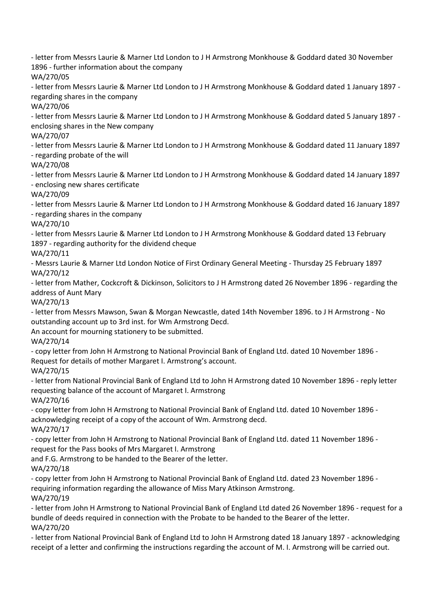- letter from Messrs Laurie & Marner Ltd London to J H Armstrong Monkhouse & Goddard dated 30 November 1896 - further information about the company

WA/270/05

- letter from Messrs Laurie & Marner Ltd London to J H Armstrong Monkhouse & Goddard dated 1 January 1897 regarding shares in the company

WA/270/06

- letter from Messrs Laurie & Marner Ltd London to J H Armstrong Monkhouse & Goddard dated 5 January 1897 enclosing shares in the New company

WA/270/07

- letter from Messrs Laurie & Marner Ltd London to J H Armstrong Monkhouse & Goddard dated 11 January 1897 - regarding probate of the will

WA/270/08

- letter from Messrs Laurie & Marner Ltd London to J H Armstrong Monkhouse & Goddard dated 14 January 1897 - enclosing new shares certificate

WA/270/09

- letter from Messrs Laurie & Marner Ltd London to J H Armstrong Monkhouse & Goddard dated 16 January 1897 - regarding shares in the company

WA/270/10

- letter from Messrs Laurie & Marner Ltd London to J H Armstrong Monkhouse & Goddard dated 13 February 1897 - regarding authority for the dividend cheque

WA/270/11

- Messrs Laurie & Marner Ltd London Notice of First Ordinary General Meeting - Thursday 25 February 1897 WA/270/12

- letter from Mather, Cockcroft & Dickinson, Solicitors to J H Armstrong dated 26 November 1896 - regarding the address of Aunt Mary

WA/270/13

- letter from Messrs Mawson, Swan & Morgan Newcastle, dated 14th November 1896. to J H Armstrong - No outstanding account up to 3rd inst. for Wm Armstrong Decd.

An account for mourning stationery to be submitted.

WA/270/14

- copy letter from John H Armstrong to National Provincial Bank of England Ltd. dated 10 November 1896 - Request for details of mother Margaret I. Armstrong's account.

WA/270/15

- letter from National Provincial Bank of England Ltd to John H Armstrong dated 10 November 1896 - reply letter requesting balance of the account of Margaret I. Armstrong

WA/270/16

- copy letter from John H Armstrong to National Provincial Bank of England Ltd. dated 10 November 1896 acknowledging receipt of a copy of the account of Wm. Armstrong decd.

WA/270/17

- copy letter from John H Armstrong to National Provincial Bank of England Ltd. dated 11 November 1896 request for the Pass books of Mrs Margaret I. Armstrong

and F.G. Armstrong to be handed to the Bearer of the letter.

WA/270/18

- copy letter from John H Armstrong to National Provincial Bank of England Ltd. dated 23 November 1896 requiring information regarding the allowance of Miss Mary Atkinson Armstrong. WA/270/19

- letter from John H Armstrong to National Provincial Bank of England Ltd dated 26 November 1896 - request for a bundle of deeds required in connection with the Probate to be handed to the Bearer of the letter. WA/270/20

- letter from National Provincial Bank of England Ltd to John H Armstrong dated 18 January 1897 - acknowledging receipt of a letter and confirming the instructions regarding the account of M. I. Armstrong will be carried out.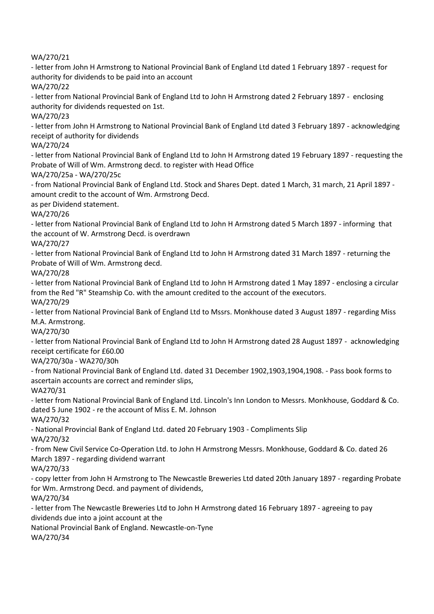WA/270/21

- letter from John H Armstrong to National Provincial Bank of England Ltd dated 1 February 1897 - request for authority for dividends to be paid into an account WA/270/22

- letter from National Provincial Bank of England Ltd to John H Armstrong dated 2 February 1897 - enclosing authority for dividends requested on 1st.

WA/270/23

- letter from John H Armstrong to National Provincial Bank of England Ltd dated 3 February 1897 - acknowledging receipt of authority for dividends

WA/270/24

- letter from National Provincial Bank of England Ltd to John H Armstrong dated 19 February 1897 - requesting the Probate of Will of Wm. Armstrong decd. to register with Head Office

WA/270/25a - WA/270/25c

- from National Provincial Bank of England Ltd. Stock and Shares Dept. dated 1 March, 31 march, 21 April 1897 amount credit to the account of Wm. Armstrong Decd.

as per Dividend statement.

WA/270/26

- letter from National Provincial Bank of England Ltd to John H Armstrong dated 5 March 1897 - informing that the account of W. Armstrong Decd. is overdrawn

WA/270/27

- letter from National Provincial Bank of England Ltd to John H Armstrong dated 31 March 1897 - returning the Probate of Will of Wm. Armstrong decd.

WA/270/28

- letter from National Provincial Bank of England Ltd to John H Armstrong dated 1 May 1897 - enclosing a circular from the Red "R" Steamship Co. with the amount credited to the account of the executors.

WA/270/29

- letter from National Provincial Bank of England Ltd to Mssrs. Monkhouse dated 3 August 1897 - regarding Miss M.A. Armstrong.

WA/270/30

- letter from National Provincial Bank of England Ltd to John H Armstrong dated 28 August 1897 - acknowledging receipt certificate for £60.00

WA/270/30a - WA270/30h

- from National Provincial Bank of England Ltd. dated 31 December 1902,1903,1904,1908. - Pass book forms to ascertain accounts are correct and reminder slips,

WA270/31

- letter from National Provincial Bank of England Ltd. Lincoln's Inn London to Messrs. Monkhouse, Goddard & Co. dated 5 June 1902 - re the account of Miss E. M. Johnson

WA/270/32

- National Provincial Bank of England Ltd. dated 20 February 1903 - Compliments Slip WA/270/32

- from New Civil Service Co-Operation Ltd. to John H Armstrong Messrs. Monkhouse, Goddard & Co. dated 26 March 1897 - regarding dividend warrant

WA/270/33

- copy letter from John H Armstrong to The Newcastle Breweries Ltd dated 20th January 1897 - regarding Probate for Wm. Armstrong Decd. and payment of dividends,

WA/270/34

- letter from The Newcastle Breweries Ltd to John H Armstrong dated 16 February 1897 - agreeing to pay dividends due into a joint account at the

National Provincial Bank of England. Newcastle-on-Tyne

WA/270/34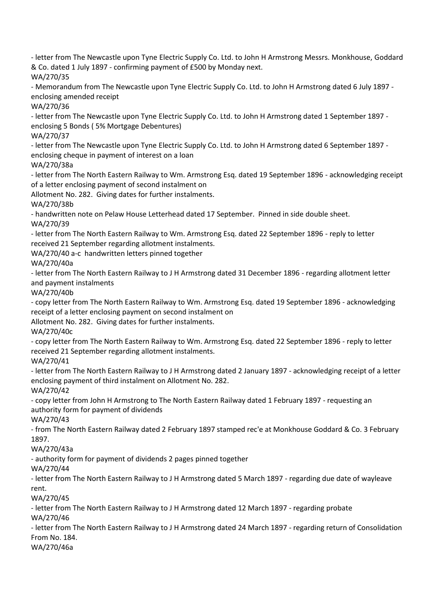- letter from The Newcastle upon Tyne Electric Supply Co. Ltd. to John H Armstrong Messrs. Monkhouse, Goddard & Co. dated 1 July 1897 - confirming payment of £500 by Monday next.

WA/270/35

- Memorandum from The Newcastle upon Tyne Electric Supply Co. Ltd. to John H Armstrong dated 6 July 1897 enclosing amended receipt

WA/270/36

- letter from The Newcastle upon Tyne Electric Supply Co. Ltd. to John H Armstrong dated 1 September 1897 enclosing 5 Bonds ( 5% Mortgage Debentures)

WA/270/37

- letter from The Newcastle upon Tyne Electric Supply Co. Ltd. to John H Armstrong dated 6 September 1897 enclosing cheque in payment of interest on a loan

WA/270/38a

- letter from The North Eastern Railway to Wm. Armstrong Esq. dated 19 September 1896 - acknowledging receipt of a letter enclosing payment of second instalment on

Allotment No. 282. Giving dates for further instalments.

WA/270/38b

- handwritten note on Pelaw House Letterhead dated 17 September. Pinned in side double sheet. WA/270/39

- letter from The North Eastern Railway to Wm. Armstrong Esq. dated 22 September 1896 - reply to letter received 21 September regarding allotment instalments.

WA/270/40 a-c handwritten letters pinned together

WA/270/40a

- letter from The North Eastern Railway to J H Armstrong dated 31 December 1896 - regarding allotment letter and payment instalments

WA/270/40b

- copy letter from The North Eastern Railway to Wm. Armstrong Esq. dated 19 September 1896 - acknowledging receipt of a letter enclosing payment on second instalment on

Allotment No. 282. Giving dates for further instalments.

WA/270/40c

- copy letter from The North Eastern Railway to Wm. Armstrong Esq. dated 22 September 1896 - reply to letter received 21 September regarding allotment instalments.

WA/270/41

- letter from The North Eastern Railway to J H Armstrong dated 2 January 1897 - acknowledging receipt of a letter enclosing payment of third instalment on Allotment No. 282.

WA/270/42

- copy letter from John H Armstrong to The North Eastern Railway dated 1 February 1897 - requesting an authority form for payment of dividends

WA/270/43

- from The North Eastern Railway dated 2 February 1897 stamped rec'e at Monkhouse Goddard & Co. 3 February 1897.

WA/270/43a

- authority form for payment of dividends 2 pages pinned together

WA/270/44

- letter from The North Eastern Railway to J H Armstrong dated 5 March 1897 - regarding due date of wayleave rent.

WA/270/45

- letter from The North Eastern Railway to J H Armstrong dated 12 March 1897 - regarding probate WA/270/46

- letter from The North Eastern Railway to J H Armstrong dated 24 March 1897 - regarding return of Consolidation From No. 184.

WA/270/46a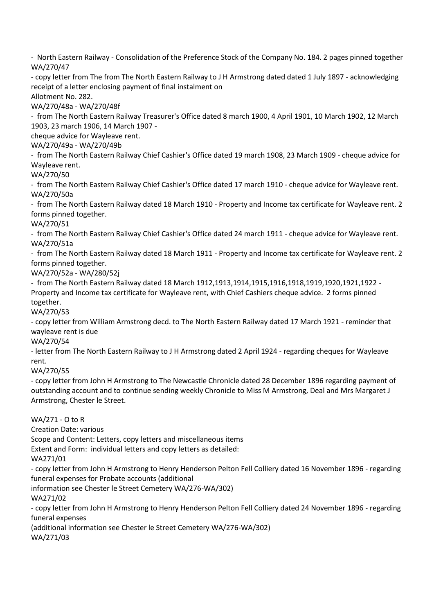- North Eastern Railway - Consolidation of the Preference Stock of the Company No. 184. 2 pages pinned together WA/270/47

- copy letter from The from The North Eastern Railway to J H Armstrong dated dated 1 July 1897 - acknowledging receipt of a letter enclosing payment of final instalment on

Allotment No. 282.

WA/270/48a - WA/270/48f

- from The North Eastern Railway Treasurer's Office dated 8 march 1900, 4 April 1901, 10 March 1902, 12 March 1903, 23 march 1906, 14 March 1907 -

cheque advice for Wayleave rent.

WA/270/49a - WA/270/49b

- from The North Eastern Railway Chief Cashier's Office dated 19 march 1908, 23 March 1909 - cheque advice for Wayleave rent.

WA/270/50

- from The North Eastern Railway Chief Cashier's Office dated 17 march 1910 - cheque advice for Wayleave rent. WA/270/50a

- from The North Eastern Railway dated 18 March 1910 - Property and Income tax certificate for Wayleave rent. 2 forms pinned together.

# WA/270/51

- from The North Eastern Railway Chief Cashier's Office dated 24 march 1911 - cheque advice for Wayleave rent. WA/270/51a

- from The North Eastern Railway dated 18 March 1911 - Property and Income tax certificate for Wayleave rent. 2 forms pinned together.

# WA/270/52a - WA/280/52j

- from The North Eastern Railway dated 18 March 1912,1913,1914,1915,1916,1918,1919,1920,1921,1922 - Property and Income tax certificate for Wayleave rent, with Chief Cashiers cheque advice. 2 forms pinned together.

WA/270/53

- copy letter from William Armstrong decd. to The North Eastern Railway dated 17 March 1921 - reminder that wayleave rent is due

# WA/270/54

- letter from The North Eastern Railway to J H Armstrong dated 2 April 1924 - regarding cheques for Wayleave rent.

WA/270/55

- copy letter from John H Armstrong to The Newcastle Chronicle dated 28 December 1896 regarding payment of outstanding account and to continue sending weekly Chronicle to Miss M Armstrong, Deal and Mrs Margaret J Armstrong, Chester le Street.

WA/271 - O to R

Creation Date: various

Scope and Content: Letters, copy letters and miscellaneous items

Extent and Form: individual letters and copy letters as detailed:

WA271/01

- copy letter from John H Armstrong to Henry Henderson Pelton Fell Colliery dated 16 November 1896 - regarding funeral expenses for Probate accounts (additional

information see Chester le Street Cemetery WA/276-WA/302)

WA271/02

- copy letter from John H Armstrong to Henry Henderson Pelton Fell Colliery dated 24 November 1896 - regarding funeral expenses

(additional information see Chester le Street Cemetery WA/276-WA/302) WA/271/03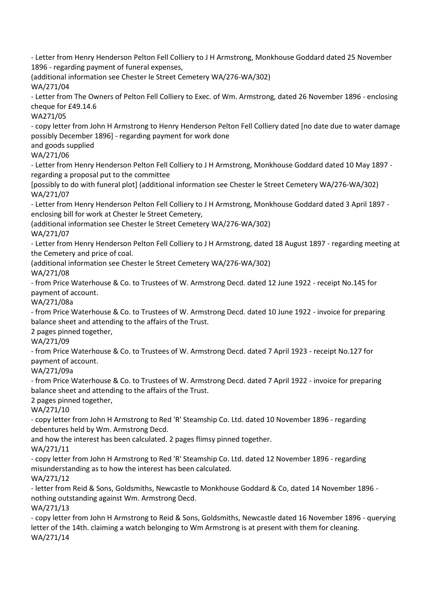- Letter from Henry Henderson Pelton Fell Colliery to J H Armstrong, Monkhouse Goddard dated 25 November 1896 - regarding payment of funeral expenses,

(additional information see Chester le Street Cemetery WA/276-WA/302) WA/271/04

- Letter from The Owners of Pelton Fell Colliery to Exec. of Wm. Armstrong, dated 26 November 1896 - enclosing cheque for £49.14.6

WA271/05

- copy letter from John H Armstrong to Henry Henderson Pelton Fell Colliery dated [no date due to water damage possibly December 1896] - regarding payment for work done

and goods supplied

WA/271/06

- Letter from Henry Henderson Pelton Fell Colliery to J H Armstrong, Monkhouse Goddard dated 10 May 1897 regarding a proposal put to the committee

[possibly to do with funeral plot] (additional information see Chester le Street Cemetery WA/276-WA/302) WA/271/07

- Letter from Henry Henderson Pelton Fell Colliery to J H Armstrong, Monkhouse Goddard dated 3 April 1897 enclosing bill for work at Chester le Street Cemetery,

(additional information see Chester le Street Cemetery WA/276-WA/302)

WA/271/07

- Letter from Henry Henderson Pelton Fell Colliery to J H Armstrong, dated 18 August 1897 - regarding meeting at the Cemetery and price of coal.

(additional information see Chester le Street Cemetery WA/276-WA/302)

WA/271/08

- from Price Waterhouse & Co. to Trustees of W. Armstrong Decd. dated 12 June 1922 - receipt No.145 for payment of account.

WA/271/08a

- from Price Waterhouse & Co. to Trustees of W. Armstrong Decd. dated 10 June 1922 - invoice for preparing balance sheet and attending to the affairs of the Trust.

2 pages pinned together,

WA/271/09

- from Price Waterhouse & Co. to Trustees of W. Armstrong Decd. dated 7 April 1923 - receipt No.127 for payment of account.

WA/271/09a

- from Price Waterhouse & Co. to Trustees of W. Armstrong Decd. dated 7 April 1922 - invoice for preparing balance sheet and attending to the affairs of the Trust.

2 pages pinned together,

WA/271/10

- copy letter from John H Armstrong to Red 'R' Steamship Co. Ltd. dated 10 November 1896 - regarding debentures held by Wm. Armstrong Decd.

and how the interest has been calculated. 2 pages flimsy pinned together.

WA/271/11

- copy letter from John H Armstrong to Red 'R' Steamship Co. Ltd. dated 12 November 1896 - regarding misunderstanding as to how the interest has been calculated.

WA/271/12

- letter from Reid & Sons, Goldsmiths, Newcastle to Monkhouse Goddard & Co, dated 14 November 1896 nothing outstanding against Wm. Armstrong Decd.

WA/271/13

- copy letter from John H Armstrong to Reid & Sons, Goldsmiths, Newcastle dated 16 November 1896 - querying letter of the 14th. claiming a watch belonging to Wm Armstrong is at present with them for cleaning. WA/271/14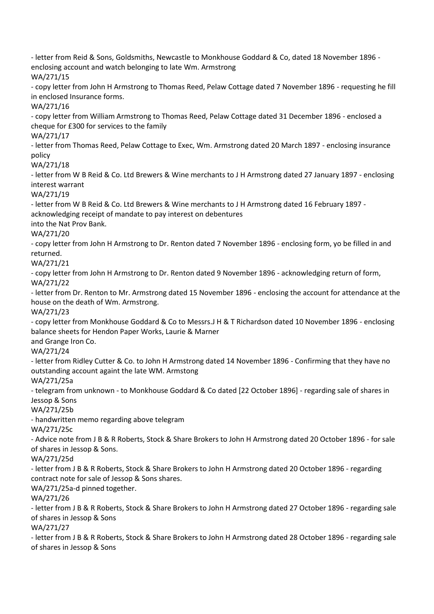- letter from Reid & Sons, Goldsmiths, Newcastle to Monkhouse Goddard & Co, dated 18 November 1896 enclosing account and watch belonging to late Wm. Armstrong WA/271/15 - copy letter from John H Armstrong to Thomas Reed, Pelaw Cottage dated 7 November 1896 - requesting he fill in enclosed Insurance forms. WA/271/16 - copy letter from William Armstrong to Thomas Reed, Pelaw Cottage dated 31 December 1896 - enclosed a cheque for £300 for services to the family WA/271/17 - letter from Thomas Reed, Pelaw Cottage to Exec, Wm. Armstrong dated 20 March 1897 - enclosing insurance policy WA/271/18 - letter from W B Reid & Co. Ltd Brewers & Wine merchants to J H Armstrong dated 27 January 1897 - enclosing interest warrant WA/271/19 - letter from W B Reid & Co. Ltd Brewers & Wine merchants to J H Armstrong dated 16 February 1897 acknowledging receipt of mandate to pay interest on debentures into the Nat Prov Bank. WA/271/20 - copy letter from John H Armstrong to Dr. Renton dated 7 November 1896 - enclosing form, yo be filled in and returned. WA/271/21 - copy letter from John H Armstrong to Dr. Renton dated 9 November 1896 - acknowledging return of form, WA/271/22 - letter from Dr. Renton to Mr. Armstrong dated 15 November 1896 - enclosing the account for attendance at the house on the death of Wm. Armstrong. WA/271/23 - copy letter from Monkhouse Goddard & Co to Messrs.J H & T Richardson dated 10 November 1896 - enclosing balance sheets for Hendon Paper Works, Laurie & Marner and Grange Iron Co. WA/271/24 - letter from Ridley Cutter & Co. to John H Armstrong dated 14 November 1896 - Confirming that they have no outstanding account againt the late WM. Armstong WA/271/25a - telegram from unknown - to Monkhouse Goddard & Co dated [22 October 1896] - regarding sale of shares in Jessop & Sons WA/271/25b - handwritten memo regarding above telegram WA/271/25c - Advice note from J B & R Roberts, Stock & Share Brokers to John H Armstrong dated 20 October 1896 - for sale of shares in Jessop & Sons. WA/271/25d - letter from J B & R Roberts, Stock & Share Brokers to John H Armstrong dated 20 October 1896 - regarding contract note for sale of Jessop & Sons shares. WA/271/25a-d pinned together. WA/271/26 - letter from J B & R Roberts, Stock & Share Brokers to John H Armstrong dated 27 October 1896 - regarding sale of shares in Jessop & Sons WA/271/27 - letter from J B & R Roberts, Stock & Share Brokers to John H Armstrong dated 28 October 1896 - regarding sale of shares in Jessop & Sons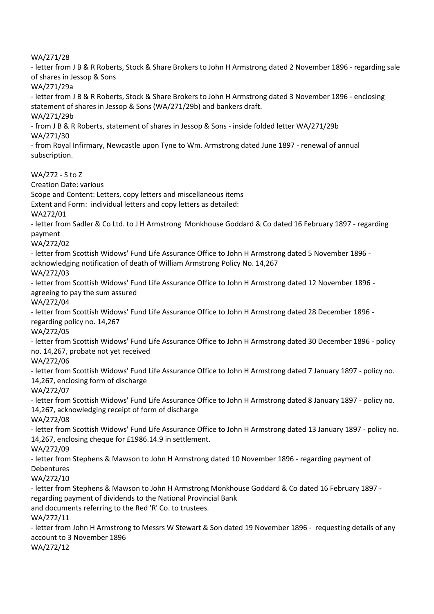WA/271/28

- letter from J B & R Roberts, Stock & Share Brokers to John H Armstrong dated 2 November 1896 - regarding sale of shares in Jessop & Sons

WA/271/29a

- letter from J B & R Roberts, Stock & Share Brokers to John H Armstrong dated 3 November 1896 - enclosing statement of shares in Jessop & Sons (WA/271/29b) and bankers draft. WA/271/29b

- from J B & R Roberts, statement of shares in Jessop & Sons - inside folded letter WA/271/29b WA/271/30

- from Royal Infirmary, Newcastle upon Tyne to Wm. Armstrong dated June 1897 - renewal of annual subscription.

WA/272 - S to Z

Creation Date: various

Scope and Content: Letters, copy letters and miscellaneous items

Extent and Form: individual letters and copy letters as detailed:

WA272/01

- letter from Sadler & Co Ltd. to J H Armstrong Monkhouse Goddard & Co dated 16 February 1897 - regarding payment

WA/272/02

- letter from Scottish Widows' Fund Life Assurance Office to John H Armstrong dated 5 November 1896 acknowledging notification of death of William Armstrong Policy No. 14,267

WA/272/03

- letter from Scottish Widows' Fund Life Assurance Office to John H Armstrong dated 12 November 1896 agreeing to pay the sum assured

WA/272/04

- letter from Scottish Widows' Fund Life Assurance Office to John H Armstrong dated 28 December 1896 regarding policy no. 14,267

WA/272/05

- letter from Scottish Widows' Fund Life Assurance Office to John H Armstrong dated 30 December 1896 - policy no. 14,267, probate not yet received

WA/272/06

- letter from Scottish Widows' Fund Life Assurance Office to John H Armstrong dated 7 January 1897 - policy no. 14,267, enclosing form of discharge

WA/272/07

- letter from Scottish Widows' Fund Life Assurance Office to John H Armstrong dated 8 January 1897 - policy no. 14,267, acknowledging receipt of form of discharge

WA/272/08

- letter from Scottish Widows' Fund Life Assurance Office to John H Armstrong dated 13 January 1897 - policy no. 14,267, enclosing cheque for £1986.14.9 in settlement.

WA/272/09

- letter from Stephens & Mawson to John H Armstrong dated 10 November 1896 - regarding payment of Debentures

WA/272/10

- letter from Stephens & Mawson to John H Armstrong Monkhouse Goddard & Co dated 16 February 1897 regarding payment of dividends to the National Provincial Bank

and documents referring to the Red 'R' Co. to trustees.

WA/272/11

- letter from John H Armstrong to Messrs W Stewart & Son dated 19 November 1896 - requesting details of any account to 3 November 1896

WA/272/12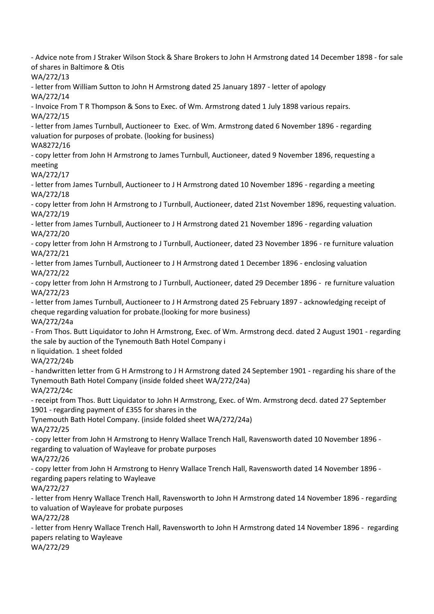- Advice note from J Straker Wilson Stock & Share Brokers to John H Armstrong dated 14 December 1898 - for sale of shares in Baltimore & Otis

WA/272/13

- letter from William Sutton to John H Armstrong dated 25 January 1897 - letter of apology

WA/272/14

- Invoice From T R Thompson & Sons to Exec. of Wm. Armstrong dated 1 July 1898 various repairs. WA/272/15

- letter from James Turnbull, Auctioneer to Exec. of Wm. Armstrong dated 6 November 1896 - regarding valuation for purposes of probate. (looking for business)

WA8272/16

- copy letter from John H Armstrong to James Turnbull, Auctioneer, dated 9 November 1896, requesting a meeting

WA/272/17

- letter from James Turnbull, Auctioneer to J H Armstrong dated 10 November 1896 - regarding a meeting WA/272/18

- copy letter from John H Armstrong to J Turnbull, Auctioneer, dated 21st November 1896, requesting valuation. WA/272/19

- letter from James Turnbull, Auctioneer to J H Armstrong dated 21 November 1896 - regarding valuation WA/272/20

- copy letter from John H Armstrong to J Turnbull, Auctioneer, dated 23 November 1896 - re furniture valuation WA/272/21

- letter from James Turnbull, Auctioneer to J H Armstrong dated 1 December 1896 - enclosing valuation WA/272/22

- copy letter from John H Armstrong to J Turnbull, Auctioneer, dated 29 December 1896 - re furniture valuation WA/272/23

- letter from James Turnbull, Auctioneer to J H Armstrong dated 25 February 1897 - acknowledging receipt of cheque regarding valuation for probate.(looking for more business) WA/272/24a

- From Thos. Butt Liquidator to John H Armstrong, Exec. of Wm. Armstrong decd. dated 2 August 1901 - regarding the sale by auction of the Tynemouth Bath Hotel Company i

n liquidation. 1 sheet folded

WA/272/24b

- handwritten letter from G H Armstrong to J H Armstrong dated 24 September 1901 - regarding his share of the Tynemouth Bath Hotel Company (inside folded sheet WA/272/24a)

WA/272/24c

- receipt from Thos. Butt Liquidator to John H Armstrong, Exec. of Wm. Armstrong decd. dated 27 September 1901 - regarding payment of £355 for shares in the

Tynemouth Bath Hotel Company. (inside folded sheet WA/272/24a) WA/272/25

- copy letter from John H Armstrong to Henry Wallace Trench Hall, Ravensworth dated 10 November 1896 regarding to valuation of Wayleave for probate purposes

WA/272/26

- copy letter from John H Armstrong to Henry Wallace Trench Hall, Ravensworth dated 14 November 1896 regarding papers relating to Wayleave

WA/272/27

- letter from Henry Wallace Trench Hall, Ravensworth to John H Armstrong dated 14 November 1896 - regarding to valuation of Wayleave for probate purposes

WA/272/28

- letter from Henry Wallace Trench Hall, Ravensworth to John H Armstrong dated 14 November 1896 - regarding papers relating to Wayleave

WA/272/29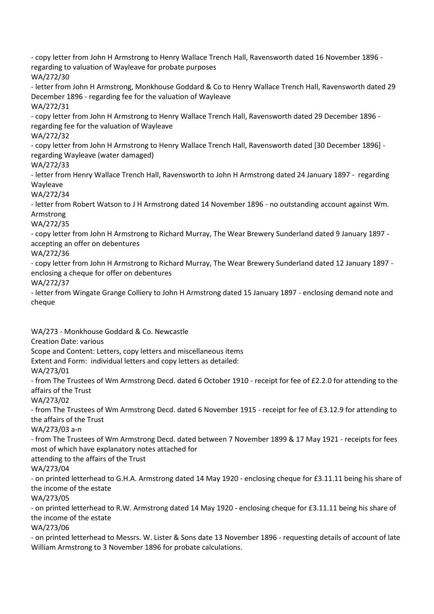- copy letter from John H Armstrong to Henry Wallace Trench Hall, Ravensworth dated 16 November 1896 regarding to valuation of Wayleave for probate purposes WA/272/30

- letter from John H Armstrong, Monkhouse Goddard & Co to Henry Wallace Trench Hall, Ravensworth dated 29 December 1896 - regarding fee for the valuation of Wayleave WA/272/31

- copy letter from John H Armstrong to Henry Wallace Trench Hall, Ravensworth dated 29 December 1896 regarding fee for the valuation of Wayleave

WA/272/32

- copy letter from John H Armstrong to Henry Wallace Trench Hall, Ravensworth dated [30 December 1896] regarding Wayleave (water damaged)

WA/272/33

- letter from Henry Wallace Trench Hall, Ravensworth to John H Armstrong dated 24 January 1897 - regarding Wayleave

WA/272/34

- letter from Robert Watson to J H Armstrong dated 14 November 1896 - no outstanding account against Wm. Armstrong

WA/272/35

- copy letter from John H Armstrong to Richard Murray, The Wear Brewery Sunderland dated 9 January 1897 accepting an offer on debentures

WA/272/36

- copy letter from John H Armstrong to Richard Murray, The Wear Brewery Sunderland dated 12 January 1897 enclosing a cheque for offer on debentures

WA/272/37

- letter from Wingate Grange Colliery to John H Armstrong dated 15 January 1897 - enclosing demand note and cheque

WA/273 - Monkhouse Goddard & Co. Newcastle

Creation Date: various

Scope and Content: Letters, copy letters and miscellaneous items Extent and Form: individual letters and copy letters as detailed:

WA/273/01

- from The Trustees of Wm Armstrong Decd. dated 6 October 1910 - receipt for fee of £2.2.0 for attending to the affairs of the Trust

WA/273/02

- from The Trustees of Wm Armstrong Decd. dated 6 November 1915 - receipt for fee of £3.12.9 for attending to the affairs of the Trust

WA/273/03 a-n

- from The Trustees of Wm Armstrong Decd. dated between 7 November 1899 & 17 May 1921 - receipts for fees most of which have explanatory notes attached for

attending to the affairs of the Trust

WA/273/04

- on printed letterhead to G.H.A. Armstrong dated 14 May 1920 - enclosing cheque for £3.11.11 being his share of the income of the estate

WA/273/05

- on printed letterhead to R.W. Armstrong dated 14 May 1920 - enclosing cheque for £3.11.11 being his share of the income of the estate

WA/273/06

- on printed letterhead to Messrs. W. Lister & Sons date 13 November 1896 - requesting details of account of late William Armstrong to 3 November 1896 for probate calculations.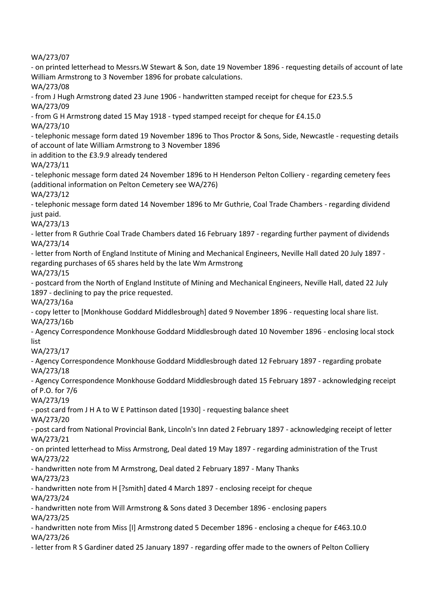WA/273/07

- on printed letterhead to Messrs.W Stewart & Son, date 19 November 1896 - requesting details of account of late William Armstrong to 3 November 1896 for probate calculations.

WA/273/08

- from J Hugh Armstrong dated 23 June 1906 - handwritten stamped receipt for cheque for £23.5.5 WA/273/09

- from G H Armstrong dated 15 May 1918 - typed stamped receipt for cheque for £4.15.0

WA/273/10

- telephonic message form dated 19 November 1896 to Thos Proctor & Sons, Side, Newcastle - requesting details of account of late William Armstrong to 3 November 1896

in addition to the £3.9.9 already tendered

WA/273/11

- telephonic message form dated 24 November 1896 to H Henderson Pelton Colliery - regarding cemetery fees (additional information on Pelton Cemetery see WA/276)

WA/273/12

- telephonic message form dated 14 November 1896 to Mr Guthrie, Coal Trade Chambers - regarding dividend just paid.

WA/273/13

- letter from R Guthrie Coal Trade Chambers dated 16 February 1897 - regarding further payment of dividends WA/273/14

- letter from North of England Institute of Mining and Mechanical Engineers, Neville Hall dated 20 July 1897 regarding purchases of 65 shares held by the late Wm Armstrong

WA/273/15

- postcard from the North of England Institute of Mining and Mechanical Engineers, Neville Hall, dated 22 July 1897 - declining to pay the price requested.

WA/273/16a

- copy letter to [Monkhouse Goddard Middlesbrough] dated 9 November 1896 - requesting local share list. WA/273/16b

- Agency Correspondence Monkhouse Goddard Middlesbrough dated 10 November 1896 - enclosing local stock list

WA/273/17

- Agency Correspondence Monkhouse Goddard Middlesbrough dated 12 February 1897 - regarding probate WA/273/18

- Agency Correspondence Monkhouse Goddard Middlesbrough dated 15 February 1897 - acknowledging receipt of P.O. for 7/6

WA/273/19

- post card from J H A to W E Pattinson dated [1930] - requesting balance sheet

WA/273/20

- post card from National Provincial Bank, Lincoln's Inn dated 2 February 1897 - acknowledging receipt of letter WA/273/21

- on printed letterhead to Miss Armstrong, Deal dated 19 May 1897 - regarding administration of the Trust WA/273/22

- handwritten note from M Armstrong, Deal dated 2 February 1897 - Many Thanks

WA/273/23

- handwritten note from H [?smith] dated 4 March 1897 - enclosing receipt for cheque WA/273/24

- handwritten note from Will Armstrong & Sons dated 3 December 1896 - enclosing papers

WA/273/25

- handwritten note from Miss [I] Armstrong dated 5 December 1896 - enclosing a cheque for £463.10.0 WA/273/26

- letter from R S Gardiner dated 25 January 1897 - regarding offer made to the owners of Pelton Colliery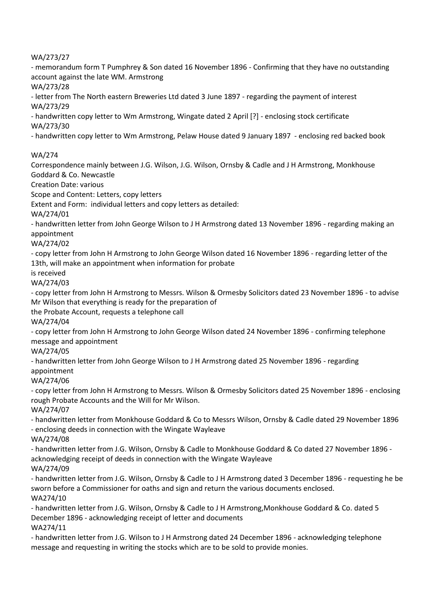WA/273/27

- memorandum form T Pumphrey & Son dated 16 November 1896 - Confirming that they have no outstanding account against the late WM. Armstrong

WA/273/28

- letter from The North eastern Breweries Ltd dated 3 June 1897 - regarding the payment of interest WA/273/29

- handwritten copy letter to Wm Armstrong, Wingate dated 2 April [?] - enclosing stock certificate WA/273/30

- handwritten copy letter to Wm Armstrong, Pelaw House dated 9 January 1897 - enclosing red backed book

## WA/274

Correspondence mainly between J.G. Wilson, J.G. Wilson, Ornsby & Cadle and J H Armstrong, Monkhouse Goddard & Co. Newcastle

Creation Date: various

Scope and Content: Letters, copy letters

Extent and Form: individual letters and copy letters as detailed:

WA/274/01

- handwritten letter from John George Wilson to J H Armstrong dated 13 November 1896 - regarding making an appointment

WA/274/02

- copy letter from John H Armstrong to John George Wilson dated 16 November 1896 - regarding letter of the 13th, will make an appointment when information for probate

is received

WA/274/03

- copy letter from John H Armstrong to Messrs. Wilson & Ormesby Solicitors dated 23 November 1896 - to advise Mr Wilson that everything is ready for the preparation of

the Probate Account, requests a telephone call

WA/274/04

- copy letter from John H Armstrong to John George Wilson dated 24 November 1896 - confirming telephone message and appointment

WA/274/05

- handwritten letter from John George Wilson to J H Armstrong dated 25 November 1896 - regarding appointment

WA/274/06

- copy letter from John H Armstrong to Messrs. Wilson & Ormesby Solicitors dated 25 November 1896 - enclosing rough Probate Accounts and the Will for Mr Wilson.

WA/274/07

- handwritten letter from Monkhouse Goddard & Co to Messrs Wilson, Ornsby & Cadle dated 29 November 1896 - enclosing deeds in connection with the Wingate Wayleave

WA/274/08

- handwritten letter from J.G. Wilson, Ornsby & Cadle to Monkhouse Goddard & Co dated 27 November 1896 acknowledging receipt of deeds in connection with the Wingate Wayleave

WA/274/09

- handwritten letter from J.G. Wilson, Ornsby & Cadle to J H Armstrong dated 3 December 1896 - requesting he be sworn before a Commissioner for oaths and sign and return the various documents enclosed. WA274/10

- handwritten letter from J.G. Wilson, Ornsby & Cadle to J H Armstrong,Monkhouse Goddard & Co. dated 5 December 1896 - acknowledging receipt of letter and documents WA274/11

- handwritten letter from J.G. Wilson to J H Armstrong dated 24 December 1896 - acknowledging telephone message and requesting in writing the stocks which are to be sold to provide monies.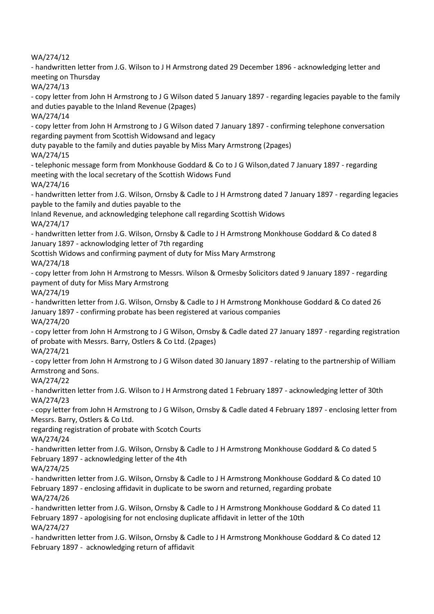WA/274/12

- handwritten letter from J.G. Wilson to J H Armstrong dated 29 December 1896 - acknowledging letter and meeting on Thursday

WA/274/13

- copy letter from John H Armstrong to J G Wilson dated 5 January 1897 - regarding legacies payable to the family and duties payable to the Inland Revenue (2pages)

WA/274/14

- copy letter from John H Armstrong to J G Wilson dated 7 January 1897 - confirming telephone conversation regarding payment from Scottish Widowsand and legacy

duty payable to the family and duties payable by Miss Mary Armstrong (2pages) WA/274/15

- telephonic message form from Monkhouse Goddard & Co to J G Wilson,dated 7 January 1897 - regarding meeting with the local secretary of the Scottish Widows Fund

WA/274/16

- handwritten letter from J.G. Wilson, Ornsby & Cadle to J H Armstrong dated 7 January 1897 - regarding legacies payble to the family and duties payable to the

Inland Revenue, and acknowledging telephone call regarding Scottish Widows WA/274/17

- handwritten letter from J.G. Wilson, Ornsby & Cadle to J H Armstrong Monkhouse Goddard & Co dated 8 January 1897 - acknowlodging letter of 7th regarding

Scottish Widows and confirming payment of duty for Miss Mary Armstrong

WA/274/18

- copy letter from John H Armstrong to Messrs. Wilson & Ormesby Solicitors dated 9 January 1897 - regarding payment of duty for Miss Mary Armstrong

WA/274/19

- handwritten letter from J.G. Wilson, Ornsby & Cadle to J H Armstrong Monkhouse Goddard & Co dated 26 January 1897 - confirming probate has been registered at various companies WA/274/20

- copy letter from John H Armstrong to J G Wilson, Ornsby & Cadle dated 27 January 1897 - regarding registration of probate with Messrs. Barry, Ostlers & Co Ltd. (2pages)

WA/274/21

- copy letter from John H Armstrong to J G Wilson dated 30 January 1897 - relating to the partnership of William Armstrong and Sons.

WA/274/22

- handwritten letter from J.G. Wilson to J H Armstrong dated 1 February 1897 - acknowledging letter of 30th WA/274/23

- copy letter from John H Armstrong to J G Wilson, Ornsby & Cadle dated 4 February 1897 - enclosing letter from Messrs. Barry, Ostlers & Co Ltd.

regarding registration of probate with Scotch Courts

WA/274/24

- handwritten letter from J.G. Wilson, Ornsby & Cadle to J H Armstrong Monkhouse Goddard & Co dated 5 February 1897 - acknowledging letter of the 4th

WA/274/25

- handwritten letter from J.G. Wilson, Ornsby & Cadle to J H Armstrong Monkhouse Goddard & Co dated 10 February 1897 - enclosing affidavit in duplicate to be sworn and returned, regarding probate WA/274/26

- handwritten letter from J.G. Wilson, Ornsby & Cadle to J H Armstrong Monkhouse Goddard & Co dated 11 February 1897 - apologising for not enclosing duplicate affidavit in letter of the 10th WA/274/27

- handwritten letter from J.G. Wilson, Ornsby & Cadle to J H Armstrong Monkhouse Goddard & Co dated 12 February 1897 - acknowledging return of affidavit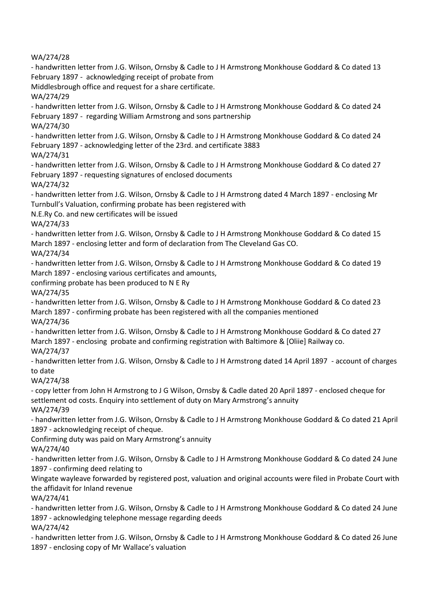WA/274/28 - handwritten letter from J.G. Wilson, Ornsby & Cadle to J H Armstrong Monkhouse Goddard & Co dated 13 February 1897 - acknowledging receipt of probate from Middlesbrough office and request for a share certificate. WA/274/29 - handwritten letter from J.G. Wilson, Ornsby & Cadle to J H Armstrong Monkhouse Goddard & Co dated 24 February 1897 - regarding William Armstrong and sons partnership WA/274/30 - handwritten letter from J.G. Wilson, Ornsby & Cadle to J H Armstrong Monkhouse Goddard & Co dated 24 February 1897 - acknowledging letter of the 23rd. and certificate 3883 WA/274/31 - handwritten letter from J.G. Wilson, Ornsby & Cadle to J H Armstrong Monkhouse Goddard & Co dated 27 February 1897 - requesting signatures of enclosed documents WA/274/32 - handwritten letter from J.G. Wilson, Ornsby & Cadle to J H Armstrong dated 4 March 1897 - enclosing Mr Turnbull's Valuation, confirming probate has been registered with N.E.Ry Co. and new certificates will be issued WA/274/33 - handwritten letter from J.G. Wilson, Ornsby & Cadle to J H Armstrong Monkhouse Goddard & Co dated 15 March 1897 - enclosing letter and form of declaration from The Cleveland Gas CO. WA/274/34 - handwritten letter from J.G. Wilson, Ornsby & Cadle to J H Armstrong Monkhouse Goddard & Co dated 19 March 1897 - enclosing various certificates and amounts, confirming probate has been produced to N E Ry WA/274/35 - handwritten letter from J.G. Wilson, Ornsby & Cadle to J H Armstrong Monkhouse Goddard & Co dated 23 March 1897 - confirming probate has been registered with all the companies mentioned WA/274/36 - handwritten letter from J.G. Wilson, Ornsby & Cadle to J H Armstrong Monkhouse Goddard & Co dated 27 March 1897 - enclosing probate and confirming registration with Baltimore & [Oliie] Railway co. WA/274/37 - handwritten letter from J.G. Wilson, Ornsby & Cadle to J H Armstrong dated 14 April 1897 - account of charges to date WA/274/38 - copy letter from John H Armstrong to J G Wilson, Ornsby & Cadle dated 20 April 1897 - enclosed cheque for settlement od costs. Enquiry into settlement of duty on Mary Armstrong's annuity WA/274/39 - handwritten letter from J.G. Wilson, Ornsby & Cadle to J H Armstrong Monkhouse Goddard & Co dated 21 April 1897 - acknowledging receipt of cheque. Confirming duty was paid on Mary Armstrong's annuity WA/274/40 - handwritten letter from J.G. Wilson, Ornsby & Cadle to J H Armstrong Monkhouse Goddard & Co dated 24 June 1897 - confirming deed relating to Wingate wayleave forwarded by registered post, valuation and original accounts were filed in Probate Court with the affidavit for Inland revenue WA/274/41 - handwritten letter from J.G. Wilson, Ornsby & Cadle to J H Armstrong Monkhouse Goddard & Co dated 24 June 1897 - acknowledging telephone message regarding deeds WA/274/42 - handwritten letter from J.G. Wilson, Ornsby & Cadle to J H Armstrong Monkhouse Goddard & Co dated 26 June 1897 - enclosing copy of Mr Wallace's valuation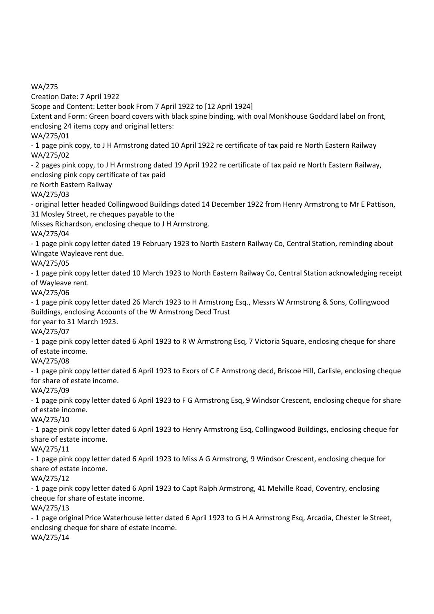WA/275

Creation Date: 7 April 1922

Scope and Content: Letter book From 7 April 1922 to [12 April 1924]

Extent and Form: Green board covers with black spine binding, with oval Monkhouse Goddard label on front, enclosing 24 items copy and original letters:

WA/275/01

- 1 page pink copy, to J H Armstrong dated 10 April 1922 re certificate of tax paid re North Eastern Railway WA/275/02

- 2 pages pink copy, to J H Armstrong dated 19 April 1922 re certificate of tax paid re North Eastern Railway, enclosing pink copy certificate of tax paid

re North Eastern Railway

WA/275/03

- original letter headed Collingwood Buildings dated 14 December 1922 from Henry Armstrong to Mr E Pattison, 31 Mosley Street, re cheques payable to the

Misses Richardson, enclosing cheque to J H Armstrong.

WA/275/04

- 1 page pink copy letter dated 19 February 1923 to North Eastern Railway Co, Central Station, reminding about Wingate Wayleave rent due.

WA/275/05

- 1 page pink copy letter dated 10 March 1923 to North Eastern Railway Co, Central Station acknowledging receipt of Wayleave rent.

WA/275/06

- 1 page pink copy letter dated 26 March 1923 to H Armstrong Esq., Messrs W Armstrong & Sons, Collingwood Buildings, enclosing Accounts of the W Armstrong Decd Trust for year to 31 March 1923.

WA/275/07

- 1 page pink copy letter dated 6 April 1923 to R W Armstrong Esq, 7 Victoria Square, enclosing cheque for share of estate income.

WA/275/08

- 1 page pink copy letter dated 6 April 1923 to Exors of C F Armstrong decd, Briscoe Hill, Carlisle, enclosing cheque for share of estate income.

WA/275/09

- 1 page pink copy letter dated 6 April 1923 to F G Armstrong Esq, 9 Windsor Crescent, enclosing cheque for share of estate income.

WA/275/10

- 1 page pink copy letter dated 6 April 1923 to Henry Armstrong Esq, Collingwood Buildings, enclosing cheque for share of estate income.

WA/275/11

- 1 page pink copy letter dated 6 April 1923 to Miss A G Armstrong, 9 Windsor Crescent, enclosing cheque for share of estate income.

WA/275/12

- 1 page pink copy letter dated 6 April 1923 to Capt Ralph Armstrong, 41 Melville Road, Coventry, enclosing cheque for share of estate income.

WA/275/13

- 1 page original Price Waterhouse letter dated 6 April 1923 to G H A Armstrong Esq, Arcadia, Chester le Street, enclosing cheque for share of estate income. WA/275/14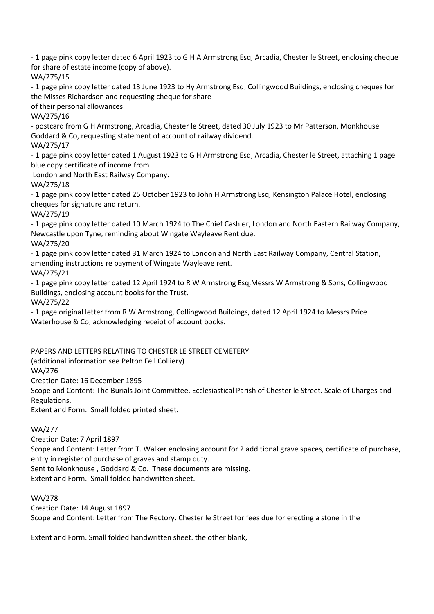- 1 page pink copy letter dated 6 April 1923 to G H A Armstrong Esq, Arcadia, Chester le Street, enclosing cheque for share of estate income (copy of above).

WA/275/15

- 1 page pink copy letter dated 13 June 1923 to Hy Armstrong Esq, Collingwood Buildings, enclosing cheques for the Misses Richardson and requesting cheque for share

of their personal allowances.

WA/275/16

- postcard from G H Armstrong, Arcadia, Chester le Street, dated 30 July 1923 to Mr Patterson, Monkhouse Goddard & Co, requesting statement of account of railway dividend.

WA/275/17

- 1 page pink copy letter dated 1 August 1923 to G H Armstrong Esq, Arcadia, Chester le Street, attaching 1 page blue copy certificate of income from

London and North East Railway Company.

WA/275/18

- 1 page pink copy letter dated 25 October 1923 to John H Armstrong Esq, Kensington Palace Hotel, enclosing cheques for signature and return.

WA/275/19

- 1 page pink copy letter dated 10 March 1924 to The Chief Cashier, London and North Eastern Railway Company, Newcastle upon Tyne, reminding about Wingate Wayleave Rent due. WA/275/20

- 1 page pink copy letter dated 31 March 1924 to London and North East Railway Company, Central Station, amending instructions re payment of Wingate Wayleave rent.

WA/275/21

- 1 page pink copy letter dated 12 April 1924 to R W Armstrong Esq,Messrs W Armstrong & Sons, Collingwood Buildings, enclosing account books for the Trust. WA/275/22

- 1 page original letter from R W Armstrong, Collingwood Buildings, dated 12 April 1924 to Messrs Price Waterhouse & Co, acknowledging receipt of account books.

PAPERS AND LETTERS RELATING TO CHESTER LE STREET CEMETERY

(additional information see Pelton Fell Colliery)

WA/276

Creation Date: 16 December 1895

Scope and Content: The Burials Joint Committee, Ecclesiastical Parish of Chester le Street. Scale of Charges and Regulations.

Extent and Form. Small folded printed sheet.

# WA/277

Creation Date: 7 April 1897

Scope and Content: Letter from T. Walker enclosing account for 2 additional grave spaces, certificate of purchase, entry in register of purchase of graves and stamp duty.

Sent to Monkhouse , Goddard & Co. These documents are missing.

Extent and Form. Small folded handwritten sheet.

WA/278

Creation Date: 14 August 1897 Scope and Content: Letter from The Rectory. Chester le Street for fees due for erecting a stone in the

Extent and Form. Small folded handwritten sheet. the other blank,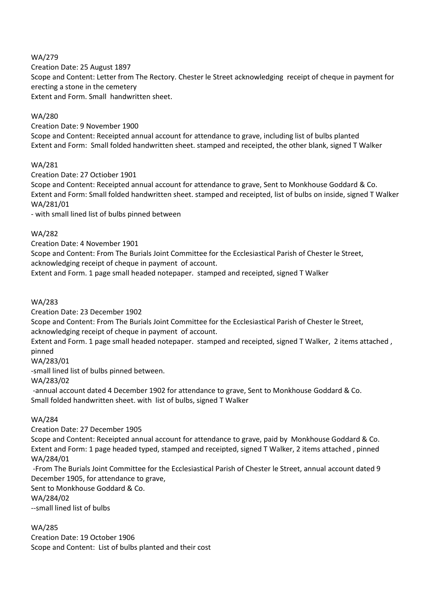## WA/279

Creation Date: 25 August 1897 Scope and Content: Letter from The Rectory. Chester le Street acknowledging receipt of cheque in payment for erecting a stone in the cemetery Extent and Form. Small handwritten sheet.

## WA/280

Creation Date: 9 November 1900 Scope and Content: Receipted annual account for attendance to grave, including list of bulbs planted Extent and Form: Small folded handwritten sheet. stamped and receipted, the other blank, signed T Walker

# WA/281

Creation Date: 27 Octiober 1901

Scope and Content: Receipted annual account for attendance to grave, Sent to Monkhouse Goddard & Co. Extent and Form: Small folded handwritten sheet. stamped and receipted, list of bulbs on inside, signed T Walker WA/281/01

- with small lined list of bulbs pinned between

## WA/282

Creation Date: 4 November 1901

Scope and Content: From The Burials Joint Committee for the Ecclesiastical Parish of Chester le Street, acknowledging receipt of cheque in payment of account.

Extent and Form. 1 page small headed notepaper. stamped and receipted, signed T Walker

## WA/283

Creation Date: 23 December 1902

Scope and Content: From The Burials Joint Committee for the Ecclesiastical Parish of Chester le Street, acknowledging receipt of cheque in payment of account.

Extent and Form. 1 page small headed notepaper. stamped and receipted, signed T Walker, 2 items attached , pinned

# WA/283/01

-small lined list of bulbs pinned between.

WA/283/02

-annual account dated 4 December 1902 for attendance to grave, Sent to Monkhouse Goddard & Co. Small folded handwritten sheet. with list of bulbs, signed T Walker

#### WA/284

Creation Date: 27 December 1905

Scope and Content: Receipted annual account for attendance to grave, paid by Monkhouse Goddard & Co. Extent and Form: 1 page headed typed, stamped and receipted, signed T Walker, 2 items attached , pinned WA/284/01

-From The Burials Joint Committee for the Ecclesiastical Parish of Chester le Street, annual account dated 9 December 1905, for attendance to grave,

Sent to Monkhouse Goddard & Co.

WA/284/02

--small lined list of bulbs

# WA/285

Creation Date: 19 October 1906 Scope and Content: List of bulbs planted and their cost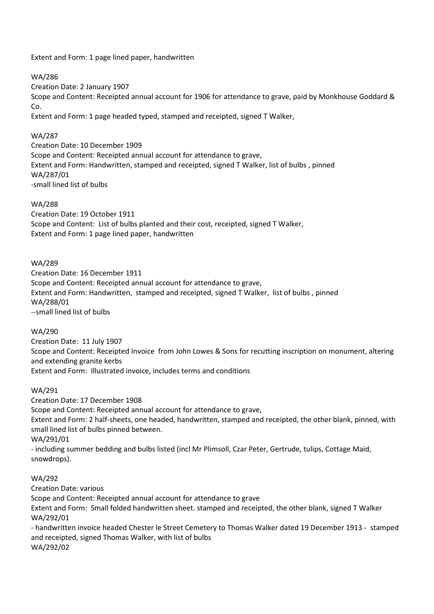Extent and Form: 1 page lined paper, handwritten

## WA/286

Creation Date: 2 January 1907

Scope and Content: Receipted annual account for 1906 for attendance to grave, paid by Monkhouse Goddard & Co.

Extent and Form: 1 page headed typed, stamped and receipted, signed T Walker,

## WA/287

Creation Date: 10 December 1909 Scope and Content: Receipted annual account for attendance to grave, Extent and Form: Handwritten, stamped and receipted, signed T Walker, list of bulbs , pinned WA/287/01 -small lined list of bulbs

## WA/288

Creation Date: 19 October 1911 Scope and Content: List of bulbs planted and their cost, receipted, signed T Walker, Extent and Form: 1 page lined paper, handwritten

## WA/289

Creation Date: 16 December 1911 Scope and Content: Receipted annual account for attendance to grave, Extent and Form: Handwritten, stamped and receipted, signed T Walker, list of bulbs , pinned WA/288/01 --small lined list of bulbs

# WA/290

Creation Date: 11 July 1907 Scope and Content: Receipted Invoice from John Lowes & Sons for recutting inscription on monument, altering and extending granite kerbs Extent and Form: Illustrated invoice, includes terms and conditions

#### WA/291

Creation Date: 17 December 1908 Scope and Content: Receipted annual account for attendance to grave, Extent and Form: 2 half-sheets, one headed, handwritten, stamped and receipted, the other blank, pinned, with small lined list of bulbs pinned between. WA/291/01 - including summer bedding and bulbs listed (incl Mr Plimsoll, Czar Peter, Gertrude, tulips, Cottage Maid, snowdrops).

#### WA/292

Creation Date: various

Scope and Content: Receipted annual account for attendance to grave

Extent and Form: Small folded handwritten sheet. stamped and receipted, the other blank, signed T Walker WA/292/01

- handwritten invoice headed Chester le Street Cemetery to Thomas Walker dated 19 December 1913 - stamped and receipted, signed Thomas Walker, with list of bulbs WA/292/02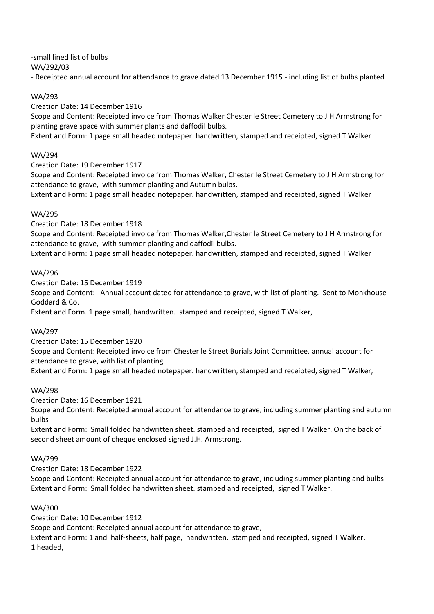-small lined list of bulbs

WA/292/03

- Receipted annual account for attendance to grave dated 13 December 1915 - including list of bulbs planted

## WA/293

Creation Date: 14 December 1916

Scope and Content: Receipted invoice from Thomas Walker Chester le Street Cemetery to J H Armstrong for planting grave space with summer plants and daffodil bulbs.

Extent and Form: 1 page small headed notepaper. handwritten, stamped and receipted, signed T Walker

## WA/294

Creation Date: 19 December 1917

Scope and Content: Receipted invoice from Thomas Walker, Chester le Street Cemetery to J H Armstrong for attendance to grave, with summer planting and Autumn bulbs.

Extent and Form: 1 page small headed notepaper. handwritten, stamped and receipted, signed T Walker

## WA/295

Creation Date: 18 December 1918

Scope and Content: Receipted invoice from Thomas Walker,Chester le Street Cemetery to J H Armstrong for attendance to grave, with summer planting and daffodil bulbs.

Extent and Form: 1 page small headed notepaper. handwritten, stamped and receipted, signed T Walker

## WA/296

Creation Date: 15 December 1919

Scope and Content: Annual account dated for attendance to grave, with list of planting. Sent to Monkhouse Goddard & Co.

Extent and Form. 1 page small, handwritten. stamped and receipted, signed T Walker,

# WA/297

Creation Date: 15 December 1920 Scope and Content: Receipted invoice from Chester le Street Burials Joint Committee. annual account for attendance to grave, with list of planting

Extent and Form: 1 page small headed notepaper. handwritten, stamped and receipted, signed T Walker,

#### WA/298

Creation Date: 16 December 1921

Scope and Content: Receipted annual account for attendance to grave, including summer planting and autumn bulbs

Extent and Form: Small folded handwritten sheet. stamped and receipted, signed T Walker. On the back of second sheet amount of cheque enclosed signed J.H. Armstrong.

#### WA/299

Creation Date: 18 December 1922

Scope and Content: Receipted annual account for attendance to grave, including summer planting and bulbs Extent and Form: Small folded handwritten sheet. stamped and receipted, signed T Walker.

#### WA/300

Creation Date: 10 December 1912

Scope and Content: Receipted annual account for attendance to grave,

Extent and Form: 1 and half-sheets, half page, handwritten. stamped and receipted, signed T Walker, 1 headed,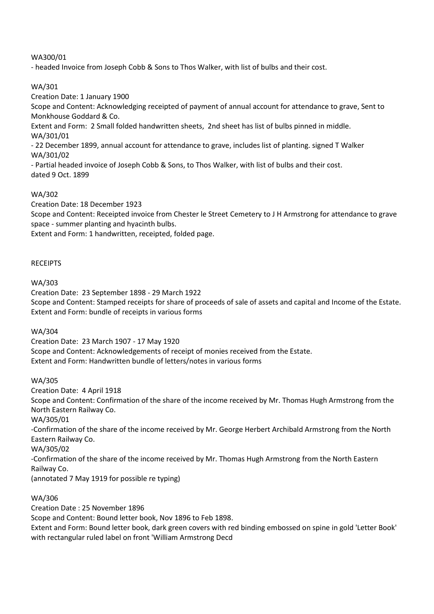# WA300/01

- headed Invoice from Joseph Cobb & Sons to Thos Walker, with list of bulbs and their cost.

## WA/301

Creation Date: 1 January 1900

Scope and Content: Acknowledging receipted of payment of annual account for attendance to grave, Sent to Monkhouse Goddard & Co.

Extent and Form: 2 Small folded handwritten sheets, 2nd sheet has list of bulbs pinned in middle. WA/301/01

- 22 December 1899, annual account for attendance to grave, includes list of planting. signed T Walker WA/301/02

- Partial headed invoice of Joseph Cobb & Sons, to Thos Walker, with list of bulbs and their cost. dated 9 Oct. 1899

# WA/302

Creation Date: 18 December 1923

Scope and Content: Receipted invoice from Chester le Street Cemetery to J H Armstrong for attendance to grave space - summer planting and hyacinth bulbs.

Extent and Form: 1 handwritten, receipted, folded page.

#### **RECEIPTS**

#### WA/303

Creation Date: 23 September 1898 - 29 March 1922 Scope and Content: Stamped receipts for share of proceeds of sale of assets and capital and Income of the Estate. Extent and Form: bundle of receipts in various forms

#### WA/304

Creation Date: 23 March 1907 - 17 May 1920 Scope and Content: Acknowledgements of receipt of monies received from the Estate. Extent and Form: Handwritten bundle of letters/notes in various forms

#### WA/305

Creation Date: 4 April 1918 Scope and Content: Confirmation of the share of the income received by Mr. Thomas Hugh Armstrong from the North Eastern Railway Co. WA/305/01 -Confirmation of the share of the income received by Mr. George Herbert Archibald Armstrong from the North Eastern Railway Co. WA/305/02 -Confirmation of the share of the income received by Mr. Thomas Hugh Armstrong from the North Eastern Railway Co. (annotated 7 May 1919 for possible re typing)

## WA/306

Creation Date : 25 November 1896 Scope and Content: Bound letter book, Nov 1896 to Feb 1898. Extent and Form: Bound letter book, dark green covers with red binding embossed on spine in gold 'Letter Book' with rectangular ruled label on front 'William Armstrong Decd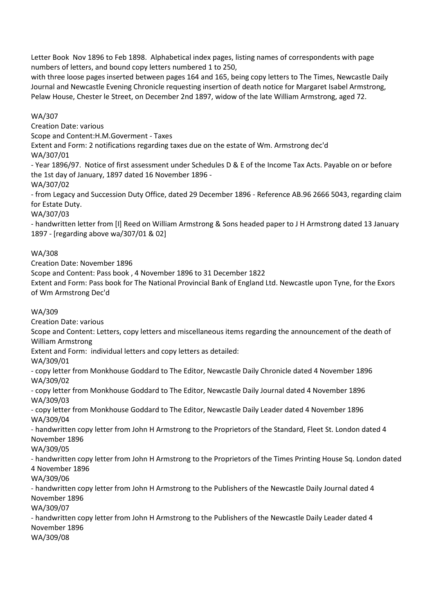Letter Book Nov 1896 to Feb 1898. Alphabetical index pages, listing names of correspondents with page numbers of letters, and bound copy letters numbered 1 to 250,

with three loose pages inserted between pages 164 and 165, being copy letters to The Times, Newcastle Daily Journal and Newcastle Evening Chronicle requesting insertion of death notice for Margaret Isabel Armstrong, Pelaw House, Chester le Street, on December 2nd 1897, widow of the late William Armstrong, aged 72.

## WA/307

Creation Date: various

Scope and Content:H.M.Goverment - Taxes

Extent and Form: 2 notifications regarding taxes due on the estate of Wm. Armstrong dec'd WA/307/01

- Year 1896/97. Notice of first assessment under Schedules D & E of the Income Tax Acts. Payable on or before the 1st day of January, 1897 dated 16 November 1896 -

WA/307/02

- from Legacy and Succession Duty Office, dated 29 December 1896 - Reference AB.96 2666 5043, regarding claim for Estate Duty.

WA/307/03

- handwritten letter from [I] Reed on William Armstrong & Sons headed paper to J H Armstrong dated 13 January 1897 - [regarding above wa/307/01 & 02]

## WA/308

Creation Date: November 1896

Scope and Content: Pass book , 4 November 1896 to 31 December 1822

Extent and Form: Pass book for The National Provincial Bank of England Ltd. Newcastle upon Tyne, for the Exors of Wm Armstrong Dec'd

#### WA/309

Creation Date: various

Scope and Content: Letters, copy letters and miscellaneous items regarding the announcement of the death of William Armstrong

Extent and Form: individual letters and copy letters as detailed:

WA/309/01

- copy letter from Monkhouse Goddard to The Editor, Newcastle Daily Chronicle dated 4 November 1896 WA/309/02

- copy letter from Monkhouse Goddard to The Editor, Newcastle Daily Journal dated 4 November 1896 WA/309/03

- copy letter from Monkhouse Goddard to The Editor, Newcastle Daily Leader dated 4 November 1896 WA/309/04

- handwritten copy letter from John H Armstrong to the Proprietors of the Standard, Fleet St. London dated 4 November 1896

WA/309/05

- handwritten copy letter from John H Armstrong to the Proprietors of the Times Printing House Sq. London dated 4 November 1896

WA/309/06

- handwritten copy letter from John H Armstrong to the Publishers of the Newcastle Daily Journal dated 4 November 1896

WA/309/07

- handwritten copy letter from John H Armstrong to the Publishers of the Newcastle Daily Leader dated 4 November 1896

WA/309/08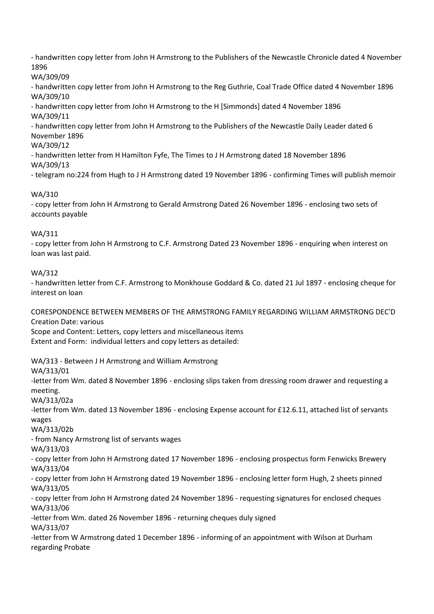- handwritten copy letter from John H Armstrong to the Publishers of the Newcastle Chronicle dated 4 November 1896

WA/309/09

- handwritten copy letter from John H Armstrong to the Reg Guthrie, Coal Trade Office dated 4 November 1896 WA/309/10

- handwritten copy letter from John H Armstrong to the H [Simmonds] dated 4 November 1896 WA/309/11

- handwritten copy letter from John H Armstrong to the Publishers of the Newcastle Daily Leader dated 6 November 1896

# WA/309/12

- handwritten letter from H Hamilton Fyfe, The Times to J H Armstrong dated 18 November 1896 WA/309/13

- telegram no:224 from Hugh to J H Armstrong dated 19 November 1896 - confirming Times will publish memoir

# WA/310

- copy letter from John H Armstrong to Gerald Armstrong Dated 26 November 1896 - enclosing two sets of accounts payable

# WA/311

- copy letter from John H Armstrong to C.F. Armstrong Dated 23 November 1896 - enquiring when interest on loan was last paid.

# WA/312

- handwritten letter from C.F. Armstrong to Monkhouse Goddard & Co. dated 21 Jul 1897 - enclosing cheque for interest on loan

CORESPONDENCE BETWEEN MEMBERS OF THE ARMSTRONG FAMILY REGARDING WILLIAM ARMSTRONG DEC'D Creation Date: various

Scope and Content: Letters, copy letters and miscellaneous items Extent and Form: individual letters and copy letters as detailed:

WA/313 - Between J H Armstrong and William Armstrong

WA/313/01

-letter from Wm. dated 8 November 1896 - enclosing slips taken from dressing room drawer and requesting a meeting.

WA/313/02a

-letter from Wm. dated 13 November 1896 - enclosing Expense account for £12.6.11, attached list of servants wages

WA/313/02b

- from Nancy Armstrong list of servants wages

WA/313/03

- copy letter from John H Armstrong dated 17 November 1896 - enclosing prospectus form Fenwicks Brewery WA/313/04

- copy letter from John H Armstrong dated 19 November 1896 - enclosing letter form Hugh, 2 sheets pinned WA/313/05

- copy letter from John H Armstrong dated 24 November 1896 - requesting signatures for enclosed cheques WA/313/06

-letter from Wm. dated 26 November 1896 - returning cheques duly signed

WA/313/07

-letter from W Armstrong dated 1 December 1896 - informing of an appointment with Wilson at Durham regarding Probate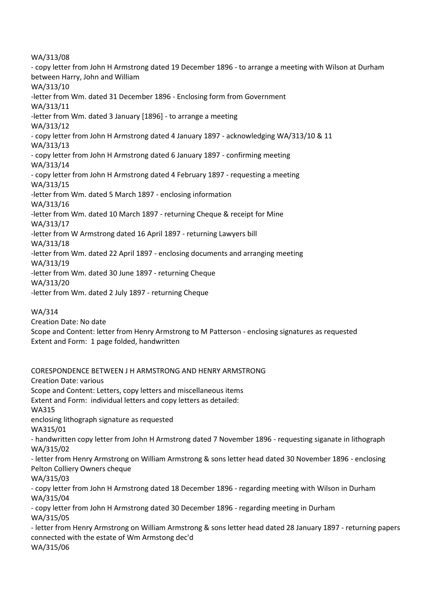WA/313/08 - copy letter from John H Armstrong dated 19 December 1896 - to arrange a meeting with Wilson at Durham between Harry, John and William WA/313/10 -letter from Wm. dated 31 December 1896 - Enclosing form from Government WA/313/11 -letter from Wm. dated 3 January [1896] - to arrange a meeting WA/313/12 - copy letter from John H Armstrong dated 4 January 1897 - acknowledging WA/313/10 & 11 WA/313/13 - copy letter from John H Armstrong dated 6 January 1897 - confirming meeting WA/313/14 - copy letter from John H Armstrong dated 4 February 1897 - requesting a meeting WA/313/15 -letter from Wm. dated 5 March 1897 - enclosing information WA/313/16 -letter from Wm. dated 10 March 1897 - returning Cheque & receipt for Mine WA/313/17 -letter from W Armstrong dated 16 April 1897 - returning Lawyers bill WA/313/18 -letter from Wm. dated 22 April 1897 - enclosing documents and arranging meeting WA/313/19 -letter from Wm. dated 30 June 1897 - returning Cheque WA/313/20 -letter from Wm. dated 2 July 1897 - returning Cheque

#### WA/314

Creation Date: No date

Scope and Content: letter from Henry Armstrong to M Patterson - enclosing signatures as requested Extent and Form: 1 page folded, handwritten

CORESPONDENCE BETWEEN J H ARMSTRONG AND HENRY ARMSTRONG Creation Date: various Scope and Content: Letters, copy letters and miscellaneous items Extent and Form: individual letters and copy letters as detailed: WA315 enclosing lithograph signature as requested WA315/01 - handwritten copy letter from John H Armstrong dated 7 November 1896 - requesting siganate in lithograph WA/315/02 - letter from Henry Armstrong on William Armstrong & sons letter head dated 30 November 1896 - enclosing Pelton Colliery Owners cheque WA/315/03 - copy letter from John H Armstrong dated 18 December 1896 - regarding meeting with Wilson in Durham WA/315/04 - copy letter from John H Armstrong dated 30 December 1896 - regarding meeting in Durham WA/315/05 - letter from Henry Armstrong on William Armstrong & sons letter head dated 28 January 1897 - returning papers connected with the estate of Wm Armstong dec'd WA/315/06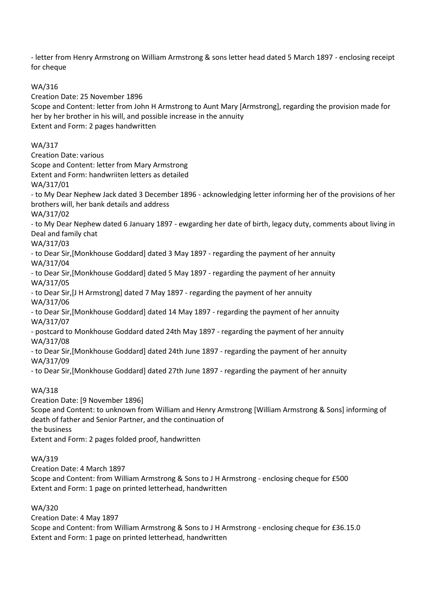- letter from Henry Armstrong on William Armstrong & sons letter head dated 5 March 1897 - enclosing receipt for cheque

WA/316

Creation Date: 25 November 1896 Scope and Content: letter from John H Armstrong to Aunt Mary [Armstrong], regarding the provision made for her by her brother in his will, and possible increase in the annuity Extent and Form: 2 pages handwritten WA/317 Creation Date: various Scope and Content: letter from Mary Armstrong Extent and Form: handwriiten letters as detailed WA/317/01 - to My Dear Nephew Jack dated 3 December 1896 - acknowledging letter informing her of the provisions of her brothers will, her bank details and address WA/317/02 - to My Dear Nephew dated 6 January 1897 - ewgarding her date of birth, legacy duty, comments about living in Deal and family chat WA/317/03 - to Dear Sir,[Monkhouse Goddard] dated 3 May 1897 - regarding the payment of her annuity WA/317/04 - to Dear Sir,[Monkhouse Goddard] dated 5 May 1897 - regarding the payment of her annuity WA/317/05 - to Dear Sir,[J H Armstrong] dated 7 May 1897 - regarding the payment of her annuity WA/317/06 - to Dear Sir,[Monkhouse Goddard] dated 14 May 1897 - regarding the payment of her annuity WA/317/07 - postcard to Monkhouse Goddard dated 24th May 1897 - regarding the payment of her annuity WA/317/08 - to Dear Sir,[Monkhouse Goddard] dated 24th June 1897 - regarding the payment of her annuity WA/317/09 - to Dear Sir,[Monkhouse Goddard] dated 27th June 1897 - regarding the payment of her annuity WA/318 Creation Date: [9 November 1896] Scope and Content: to unknown from William and Henry Armstrong [William Armstrong & Sons] informing of death of father and Senior Partner, and the continuation of

the business

Extent and Form: 2 pages folded proof, handwritten

WA/319

Creation Date: 4 March 1897

Scope and Content: from William Armstrong & Sons to J H Armstrong - enclosing cheque for £500 Extent and Form: 1 page on printed letterhead, handwritten

WA/320

Creation Date: 4 May 1897

Scope and Content: from William Armstrong & Sons to J H Armstrong - enclosing cheque for £36.15.0 Extent and Form: 1 page on printed letterhead, handwritten